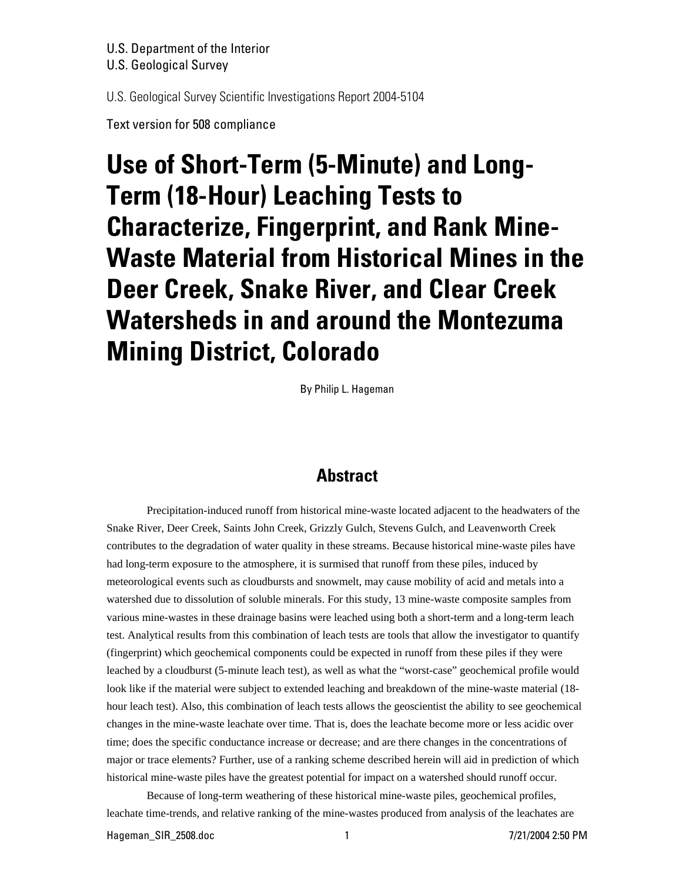# U.S. Department of the Interior

U.S. Geological Survey

U.S. Geological Survey Scientific Investigations Report 2004-5104

Text version for 508 compliance

# **Use of Short-Term (5-Minute) and Long-Term (18-Hour) Leaching Tests to Characterize, Fingerprint, and Rank Mine-Waste Material from Historical Mines in the Deer Creek, Snake River, and Clear Creek Watersheds in and around the Montezuma Mining District, Colorado**

By Philip L. Hageman

# **Abstract**

Precipitation-induced runoff from historical mine-waste located adjacent to the headwaters of the Snake River, Deer Creek, Saints John Creek, Grizzly Gulch, Stevens Gulch, and Leavenworth Creek contributes to the degradation of water quality in these streams. Because historical mine-waste piles have had long-term exposure to the atmosphere, it is surmised that runoff from these piles, induced by meteorological events such as cloudbursts and snowmelt, may cause mobility of acid and metals into a watershed due to dissolution of soluble minerals. For this study, 13 mine-waste composite samples from various mine-wastes in these drainage basins were leached using both a short-term and a long-term leach test. Analytical results from this combination of leach tests are tools that allow the investigator to quantify (fingerprint) which geochemical components could be expected in runoff from these piles if they were leached by a cloudburst (5-minute leach test), as well as what the "worst-case" geochemical profile would look like if the material were subject to extended leaching and breakdown of the mine-waste material (18hour leach test). Also, this combination of leach tests allows the geoscientist the ability to see geochemical changes in the mine-waste leachate over time. That is, does the leachate become more or less acidic over time; does the specific conductance increase or decrease; and are there changes in the concentrations of major or trace elements? Further, use of a ranking scheme described herein will aid in prediction of which historical mine-waste piles have the greatest potential for impact on a watershed should runoff occur.

Because of long-term weathering of these historical mine-waste piles, geochemical profiles, leachate time-trends, and relative ranking of the mine-wastes produced from analysis of the leachates are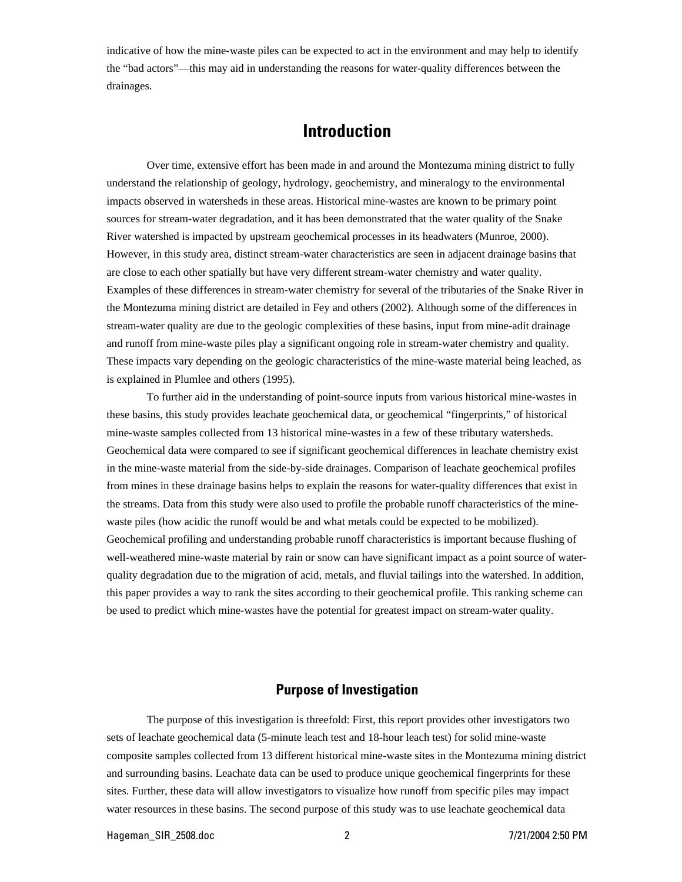indicative of how the mine-waste piles can be expected to act in the environment and may help to identify the "bad actors"—this may aid in understanding the reasons for water-quality differences between the drainages.

# **Introduction**

Over time, extensive effort has been made in and around the Montezuma mining district to fully understand the relationship of geology, hydrology, geochemistry, and mineralogy to the environmental impacts observed in watersheds in these areas. Historical mine-wastes are known to be primary point sources for stream-water degradation, and it has been demonstrated that the water quality of the Snake River watershed is impacted by upstream geochemical processes in its headwaters (Munroe, 2000). However, in this study area, distinct stream-water characteristics are seen in adjacent drainage basins that are close to each other spatially but have very different stream-water chemistry and water quality. Examples of these differences in stream-water chemistry for several of the tributaries of the Snake River in the Montezuma mining district are detailed in Fey and others (2002). Although some of the differences in stream-water quality are due to the geologic complexities of these basins, input from mine-adit drainage and runoff from mine-waste piles play a significant ongoing role in stream-water chemistry and quality. These impacts vary depending on the geologic characteristics of the mine-waste material being leached, as is explained in Plumlee and others (1995).

To further aid in the understanding of point-source inputs from various historical mine-wastes in these basins, this study provides leachate geochemical data, or geochemical "fingerprints," of historical mine-waste samples collected from 13 historical mine-wastes in a few of these tributary watersheds. Geochemical data were compared to see if significant geochemical differences in leachate chemistry exist in the mine-waste material from the side-by-side drainages. Comparison of leachate geochemical profiles from mines in these drainage basins helps to explain the reasons for water-quality differences that exist in the streams. Data from this study were also used to profile the probable runoff characteristics of the minewaste piles (how acidic the runoff would be and what metals could be expected to be mobilized). Geochemical profiling and understanding probable runoff characteristics is important because flushing of well-weathered mine-waste material by rain or snow can have significant impact as a point source of waterquality degradation due to the migration of acid, metals, and fluvial tailings into the watershed. In addition, this paper provides a way to rank the sites according to their geochemical profile. This ranking scheme can be used to predict which mine-wastes have the potential for greatest impact on stream-water quality.

# **Purpose of Investigation**

The purpose of this investigation is threefold: First, this report provides other investigators two sets of leachate geochemical data (5-minute leach test and 18-hour leach test) for solid mine-waste composite samples collected from 13 different historical mine-waste sites in the Montezuma mining district and surrounding basins. Leachate data can be used to produce unique geochemical fingerprints for these sites. Further, these data will allow investigators to visualize how runoff from specific piles may impact water resources in these basins. The second purpose of this study was to use leachate geochemical data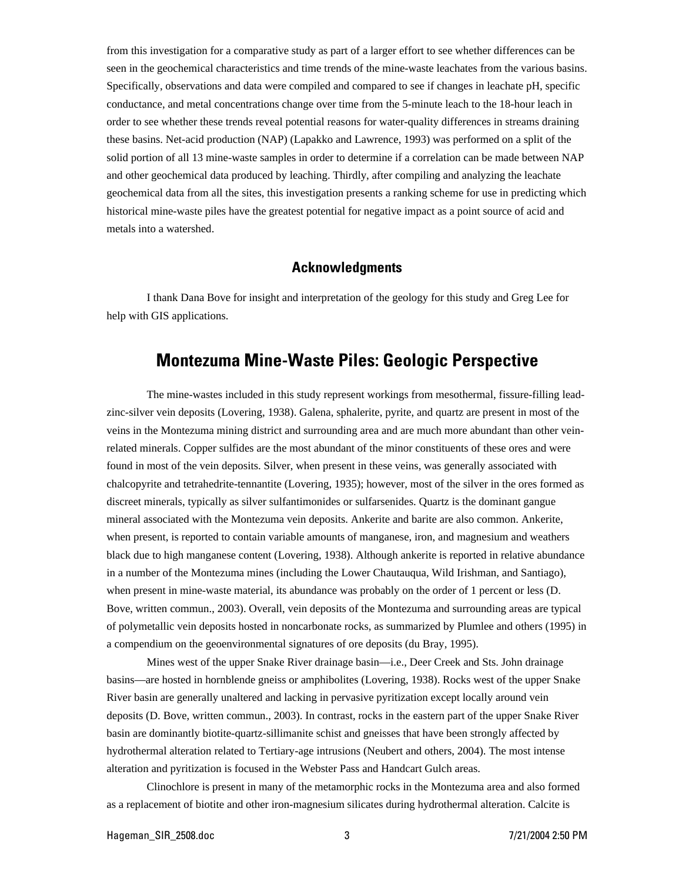from this investigation for a comparative study as part of a larger effort to see whether differences can be seen in the geochemical characteristics and time trends of the mine-waste leachates from the various basins. Specifically, observations and data were compiled and compared to see if changes in leachate pH, specific conductance, and metal concentrations change over time from the 5-minute leach to the 18-hour leach in order to see whether these trends reveal potential reasons for water-quality differences in streams draining these basins. Net-acid production (NAP) (Lapakko and Lawrence, 1993) was performed on a split of the solid portion of all 13 mine-waste samples in order to determine if a correlation can be made between NAP and other geochemical data produced by leaching. Thirdly, after compiling and analyzing the leachate geochemical data from all the sites, this investigation presents a ranking scheme for use in predicting which historical mine-waste piles have the greatest potential for negative impact as a point source of acid and metals into a watershed.

#### **Acknowledgments**

I thank Dana Bove for insight and interpretation of the geology for this study and Greg Lee for help with GIS applications.

# **Montezuma Mine-Waste Piles: Geologic Perspective**

The mine-wastes included in this study represent workings from mesothermal, fissure-filling leadzinc-silver vein deposits (Lovering, 1938). Galena, sphalerite, pyrite, and quartz are present in most of the veins in the Montezuma mining district and surrounding area and are much more abundant than other veinrelated minerals. Copper sulfides are the most abundant of the minor constituents of these ores and were found in most of the vein deposits. Silver, when present in these veins, was generally associated with chalcopyrite and tetrahedrite-tennantite (Lovering, 1935); however, most of the silver in the ores formed as discreet minerals, typically as silver sulfantimonides or sulfarsenides. Quartz is the dominant gangue mineral associated with the Montezuma vein deposits. Ankerite and barite are also common. Ankerite, when present, is reported to contain variable amounts of manganese, iron, and magnesium and weathers black due to high manganese content (Lovering, 1938). Although ankerite is reported in relative abundance in a number of the Montezuma mines (including the Lower Chautauqua, Wild Irishman, and Santiago), when present in mine-waste material, its abundance was probably on the order of 1 percent or less (D. Bove, written commun., 2003). Overall, vein deposits of the Montezuma and surrounding areas are typical of polymetallic vein deposits hosted in noncarbonate rocks, as summarized by Plumlee and others (1995) in a compendium on the geoenvironmental signatures of ore deposits (du Bray, 1995).

Mines west of the upper Snake River drainage basin—i.e., Deer Creek and Sts. John drainage basins—are hosted in hornblende gneiss or amphibolites (Lovering, 1938). Rocks west of the upper Snake River basin are generally unaltered and lacking in pervasive pyritization except locally around vein deposits (D. Bove, written commun., 2003). In contrast, rocks in the eastern part of the upper Snake River basin are dominantly biotite-quartz-sillimanite schist and gneisses that have been strongly affected by hydrothermal alteration related to Tertiary-age intrusions (Neubert and others, 2004). The most intense alteration and pyritization is focused in the Webster Pass and Handcart Gulch areas.

Clinochlore is present in many of the metamorphic rocks in the Montezuma area and also formed as a replacement of biotite and other iron-magnesium silicates during hydrothermal alteration. Calcite is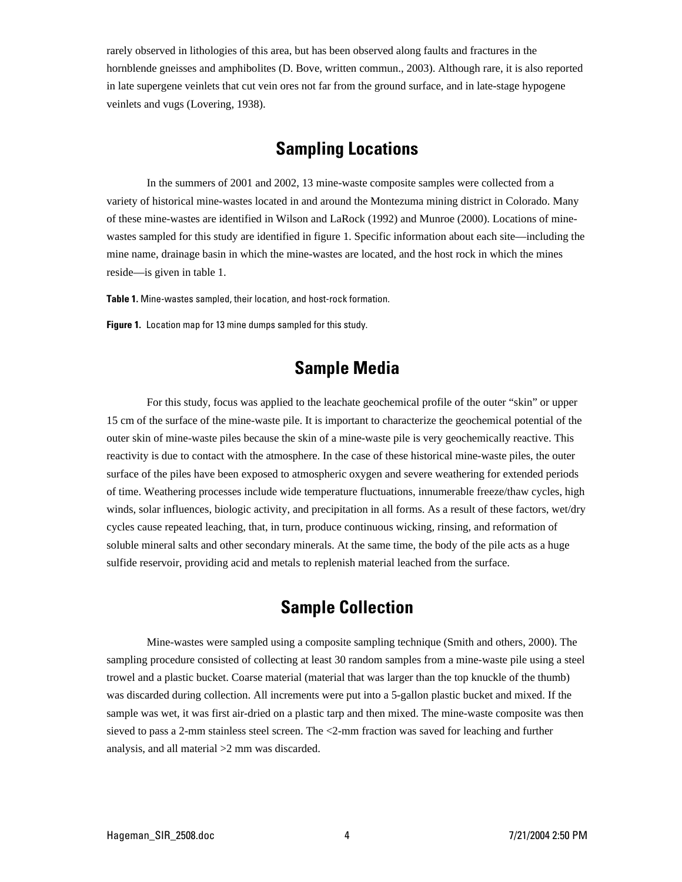rarely observed in lithologies of this area, but has been observed along faults and fractures in the hornblende gneisses and amphibolites (D. Bove, written commun., 2003). Although rare, it is also reported in late supergene veinlets that cut vein ores not far from the ground surface, and in late-stage hypogene veinlets and vugs (Lovering, 1938).

# **Sampling Locations**

In the summers of 2001 and 2002, 13 mine-waste composite samples were collected from a variety of historical mine-wastes located in and around the Montezuma mining district in Colorado. Many of these mine-wastes are identified in Wilson and LaRock (1992) and Munroe (2000). Locations of minewastes sampled for this study are identified in figure 1. Specific information about each site—including the mine name, drainage basin in which the mine-wastes are located, and the host rock in which the mines reside—is given in table 1.

**Table 1.** Mine-wastes sampled, their location, and host-rock formation.

**Figure 1.** Location map for 13 mine dumps sampled for this study.

# **Sample Media**

For this study, focus was applied to the leachate geochemical profile of the outer "skin" or upper 15 cm of the surface of the mine-waste pile. It is important to characterize the geochemical potential of the outer skin of mine-waste piles because the skin of a mine-waste pile is very geochemically reactive. This reactivity is due to contact with the atmosphere. In the case of these historical mine-waste piles, the outer surface of the piles have been exposed to atmospheric oxygen and severe weathering for extended periods of time. Weathering processes include wide temperature fluctuations, innumerable freeze/thaw cycles, high winds, solar influences, biologic activity, and precipitation in all forms. As a result of these factors, wet/dry cycles cause repeated leaching, that, in turn, produce continuous wicking, rinsing, and reformation of soluble mineral salts and other secondary minerals. At the same time, the body of the pile acts as a huge sulfide reservoir, providing acid and metals to replenish material leached from the surface.

# **Sample Collection**

Mine-wastes were sampled using a composite sampling technique (Smith and others, 2000). The sampling procedure consisted of collecting at least 30 random samples from a mine-waste pile using a steel trowel and a plastic bucket. Coarse material (material that was larger than the top knuckle of the thumb) was discarded during collection. All increments were put into a 5-gallon plastic bucket and mixed. If the sample was wet, it was first air-dried on a plastic tarp and then mixed. The mine-waste composite was then sieved to pass a 2-mm stainless steel screen. The <2-mm fraction was saved for leaching and further analysis, and all material >2 mm was discarded.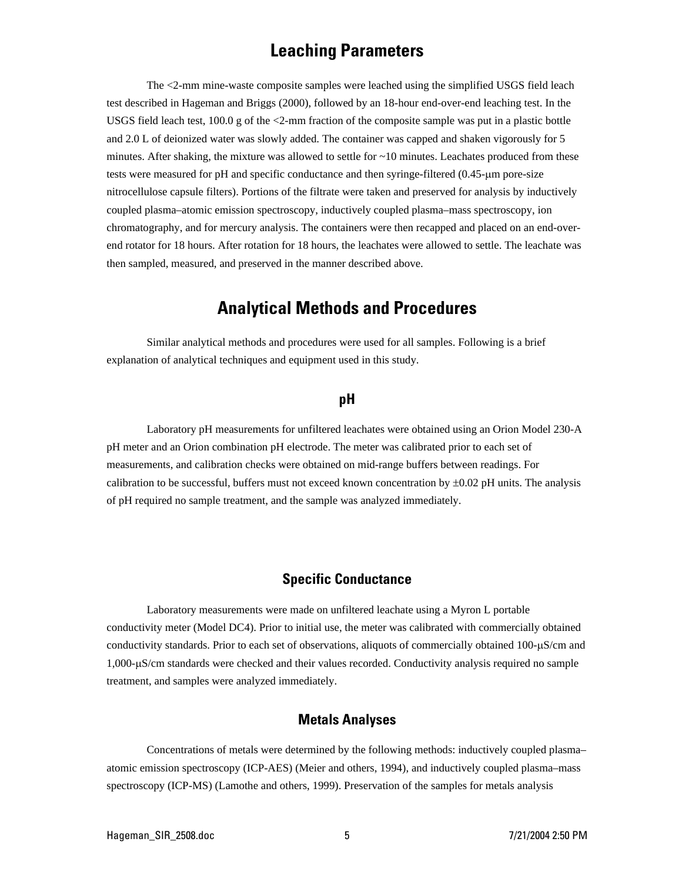# **Leaching Parameters**

The <2-mm mine-waste composite samples were leached using the simplified USGS field leach test described in Hageman and Briggs (2000), followed by an 18-hour end-over-end leaching test. In the USGS field leach test,  $100.0$  g of the  $\leq$ 2-mm fraction of the composite sample was put in a plastic bottle and 2.0 L of deionized water was slowly added. The container was capped and shaken vigorously for 5 minutes. After shaking, the mixture was allowed to settle for  $\sim$ 10 minutes. Leachates produced from these tests were measured for pH and specific conductance and then syringe-filtered (0.45-µm pore-size nitrocellulose capsule filters). Portions of the filtrate were taken and preserved for analysis by inductively coupled plasma–atomic emission spectroscopy, inductively coupled plasma–mass spectroscopy, ion chromatography, and for mercury analysis. The containers were then recapped and placed on an end-overend rotator for 18 hours. After rotation for 18 hours, the leachates were allowed to settle. The leachate was then sampled, measured, and preserved in the manner described above.

# **Analytical Methods and Procedures**

Similar analytical methods and procedures were used for all samples. Following is a brief explanation of analytical techniques and equipment used in this study.

### **pH**

Laboratory pH measurements for unfiltered leachates were obtained using an Orion Model 230-A pH meter and an Orion combination pH electrode. The meter was calibrated prior to each set of measurements, and calibration checks were obtained on mid-range buffers between readings. For calibration to be successful, buffers must not exceed known concentration by  $\pm 0.02$  pH units. The analysis of pH required no sample treatment, and the sample was analyzed immediately.

### **Specific Conductance**

Laboratory measurements were made on unfiltered leachate using a Myron L portable conductivity meter (Model DC4). Prior to initial use, the meter was calibrated with commercially obtained conductivity standards. Prior to each set of observations, aliquots of commercially obtained 100-µS/cm and 1,000-µS/cm standards were checked and their values recorded. Conductivity analysis required no sample treatment, and samples were analyzed immediately.

### **Metals Analyses**

Concentrations of metals were determined by the following methods: inductively coupled plasma– atomic emission spectroscopy (ICP-AES) (Meier and others, 1994), and inductively coupled plasma–mass spectroscopy (ICP-MS) (Lamothe and others, 1999). Preservation of the samples for metals analysis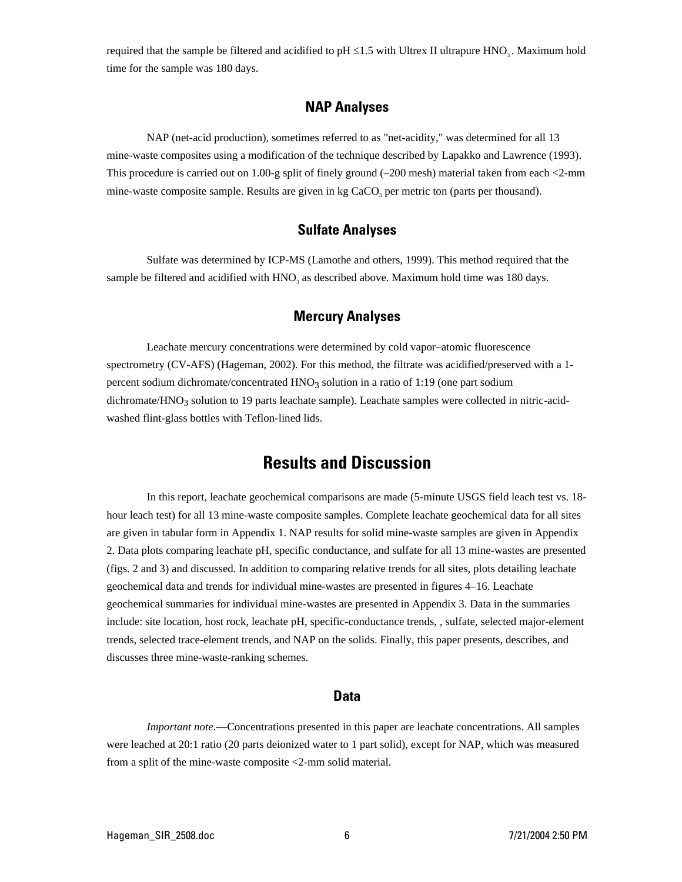required that the sample be filtered and acidified to  $pH \le 1.5$  with Ultrex II ultrapure HNO<sub>3</sub>. Maximum hold time for the sample was 180 days.

# **NAP Analyses**

NAP (net-acid production), sometimes referred to as "net-acidity," was determined for all 13 mine-waste composites using a modification of the technique described by Lapakko and Lawrence (1993). This procedure is carried out on 1.00-g split of finely ground (–200 mesh) material taken from each <2-mm mine-waste composite sample. Results are given in kg CaCO, per metric ton (parts per thousand).

### **Sulfate Analyses**

Sulfate was determined by ICP-MS (Lamothe and others, 1999). This method required that the sample be filtered and acidified with  $HNO<sub>3</sub>$  as described above. Maximum hold time was 180 days.

# **Mercury Analyses**

Leachate mercury concentrations were determined by cold vapor–atomic fluorescence spectrometry (CV-AFS) (Hageman, 2002). For this method, the filtrate was acidified/preserved with a 1 percent sodium dichromate/concentrated  $HNO<sub>3</sub>$  solution in a ratio of 1:19 (one part sodium dichromate/HNO<sub>3</sub> solution to 19 parts leachate sample). Leachate samples were collected in nitric-acidwashed flint-glass bottles with Teflon-lined lids.

# **Results and Discussion**

In this report, leachate geochemical comparisons are made (5-minute USGS field leach test vs. 18 hour leach test) for all 13 mine-waste composite samples. Complete leachate geochemical data for all sites are given in tabular form in Appendix 1. NAP results for solid mine-waste samples are given in Appendix 2. Data plots comparing leachate pH, specific conductance, and sulfate for all 13 mine-wastes are presented (figs. 2 and 3) and discussed. In addition to comparing relative trends for all sites, plots detailing leachate geochemical data and trends for individual mine-wastes are presented in figures 4–16. Leachate geochemical summaries for individual mine-wastes are presented in Appendix 3. Data in the summaries include: site location, host rock, leachate pH, specific-conductance trends, , sulfate, selected major-element trends, selected trace-element trends, and NAP on the solids. Finally, this paper presents, describes, and discusses three mine-waste-ranking schemes.

#### **Data**

*Important note*.—Concentrations presented in this paper are leachate concentrations. All samples were leached at 20:1 ratio (20 parts deionized water to 1 part solid), except for NAP, which was measured from a split of the mine-waste composite <2-mm solid material.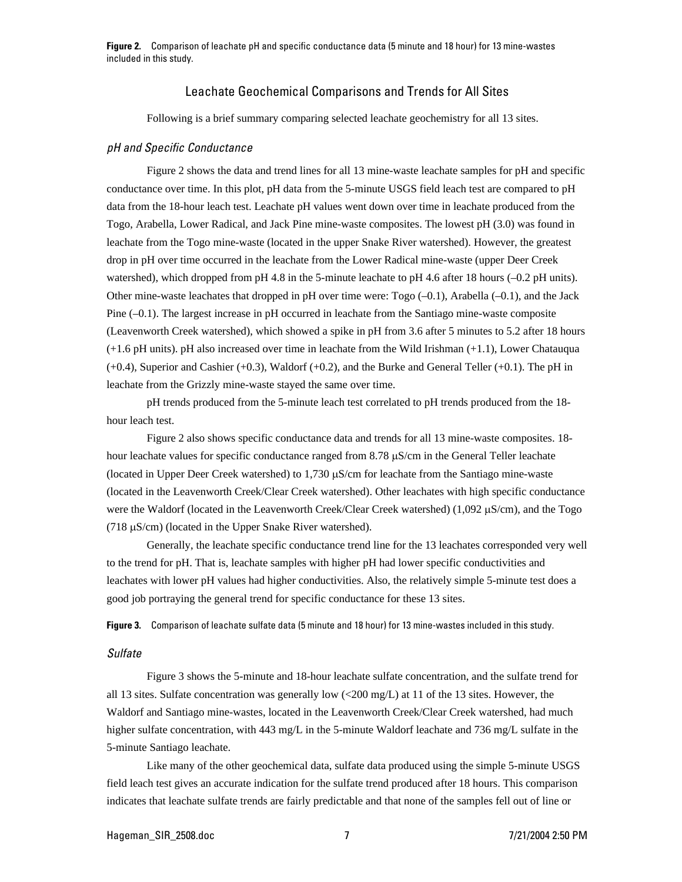**Figure 2.** Comparison of leachate pH and specific conductance data (5 minute and 18 hour) for 13 mine-wastes included in this study.

#### Leachate Geochemical Comparisons and Trends for All Sites

Following is a brief summary comparing selected leachate geochemistry for all 13 sites.

#### *pH and Specific Conductance*

Figure 2 shows the data and trend lines for all 13 mine-waste leachate samples for pH and specific conductance over time. In this plot, pH data from the 5-minute USGS field leach test are compared to pH data from the 18-hour leach test. Leachate pH values went down over time in leachate produced from the Togo, Arabella, Lower Radical, and Jack Pine mine-waste composites. The lowest pH (3.0) was found in leachate from the Togo mine-waste (located in the upper Snake River watershed). However, the greatest drop in pH over time occurred in the leachate from the Lower Radical mine-waste (upper Deer Creek watershed), which dropped from pH 4.8 in the 5-minute leachate to pH 4.6 after 18 hours (-0.2 pH units). Other mine-waste leachates that dropped in pH over time were:  $Togo (-0.1)$ , Arabella  $(-0.1)$ , and the Jack Pine  $(-0.1)$ . The largest increase in pH occurred in leachate from the Santiago mine-waste composite (Leavenworth Creek watershed), which showed a spike in pH from 3.6 after 5 minutes to 5.2 after 18 hours (+1.6 pH units). pH also increased over time in leachate from the Wild Irishman (+1.1), Lower Chatauqua (+0.4), Superior and Cashier (+0.3), Waldorf (+0.2), and the Burke and General Teller (+0.1). The pH in leachate from the Grizzly mine-waste stayed the same over time.

pH trends produced from the 5-minute leach test correlated to pH trends produced from the 18 hour leach test.

Figure 2 also shows specific conductance data and trends for all 13 mine-waste composites. 18 hour leachate values for specific conductance ranged from 8.78  $\mu$ S/cm in the General Teller leachate (located in Upper Deer Creek watershed) to 1,730 µS/cm for leachate from the Santiago mine-waste (located in the Leavenworth Creek/Clear Creek watershed). Other leachates with high specific conductance were the Waldorf (located in the Leavenworth Creek/Clear Creek watershed) (1,092 µS/cm), and the Togo ( $718 \mu S/cm$ ) (located in the Upper Snake River watershed).

Generally, the leachate specific conductance trend line for the 13 leachates corresponded very well to the trend for pH. That is, leachate samples with higher pH had lower specific conductivities and leachates with lower pH values had higher conductivities. Also, the relatively simple 5-minute test does a good job portraying the general trend for specific conductance for these 13 sites.

**Figure 3.** Comparison of leachate sulfate data (5 minute and 18 hour) for 13 mine-wastes included in this study.

#### *Sulfate*

Figure 3 shows the 5-minute and 18-hour leachate sulfate concentration, and the sulfate trend for all 13 sites. Sulfate concentration was generally low (<200 mg/L) at 11 of the 13 sites. However, the Waldorf and Santiago mine-wastes, located in the Leavenworth Creek/Clear Creek watershed, had much higher sulfate concentration, with 443 mg/L in the 5-minute Waldorf leachate and 736 mg/L sulfate in the 5-minute Santiago leachate.

Like many of the other geochemical data, sulfate data produced using the simple 5-minute USGS field leach test gives an accurate indication for the sulfate trend produced after 18 hours. This comparison indicates that leachate sulfate trends are fairly predictable and that none of the samples fell out of line or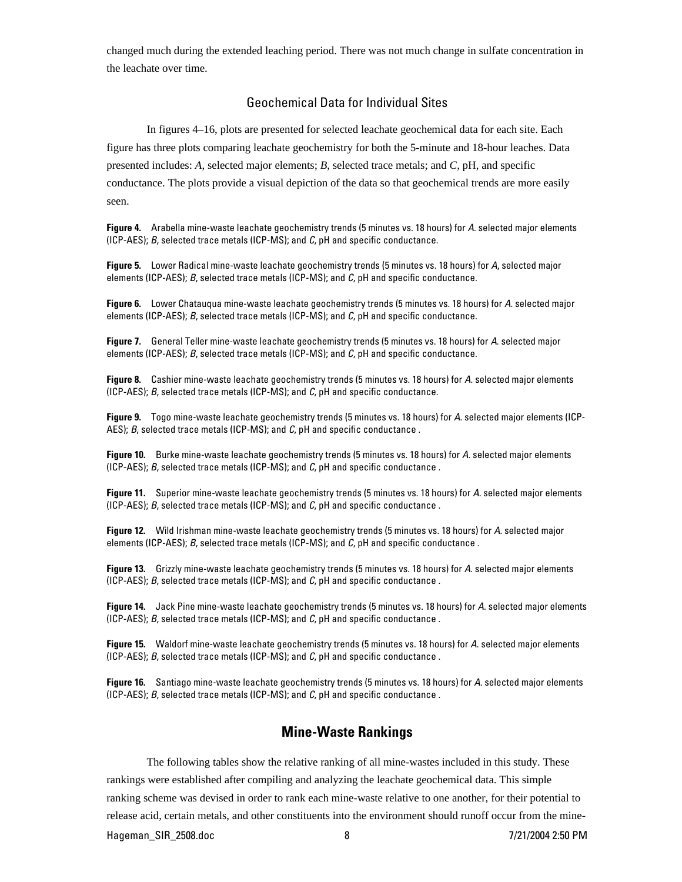changed much during the extended leaching period. There was not much change in sulfate concentration in the leachate over time.

#### Geochemical Data for Individual Sites

In figures 4–16, plots are presented for selected leachate geochemical data for each site. Each figure has three plots comparing leachate geochemistry for both the 5-minute and 18-hour leaches. Data presented includes: *A*, selected major elements; *B*, selected trace metals; and *C*, pH, and specific conductance. The plots provide a visual depiction of the data so that geochemical trends are more easily seen.

**Figure 4.** Arabella mine-waste leachate geochemistry trends (5 minutes vs. 18 hours) for *A*. selected major elements (ICP-AES); *B*, selected trace metals (ICP-MS); and *C*, pH and specific conductance.

**Figure 5.** Lower Radical mine-waste leachate geochemistry trends (5 minutes vs. 18 hours) for *A*, selected major elements (ICP-AES); *B*, selected trace metals (ICP-MS); and *C*, pH and specific conductance.

**Figure 6.** Lower Chatauqua mine-waste leachate geochemistry trends (5 minutes vs. 18 hours) for *A*. selected major elements (ICP-AES); *B*, selected trace metals (ICP-MS); and *C*, pH and specific conductance.

**Figure 7.** General Teller mine-waste leachate geochemistry trends (5 minutes vs. 18 hours) for *A*. selected major elements (ICP-AES); *B*, selected trace metals (ICP-MS); and *C*, pH and specific conductance.

**Figure 8.** Cashier mine-waste leachate geochemistry trends (5 minutes vs. 18 hours) for *A*. selected major elements (ICP-AES); *B*, selected trace metals (ICP-MS); and *C*, pH and specific conductance.

**Figure 9.** Togo mine-waste leachate geochemistry trends (5 minutes vs. 18 hours) for *A*. selected major elements (ICP-AES); *B*, selected trace metals (ICP-MS); and *C*, pH and specific conductance .

**Figure 10.** Burke mine-waste leachate geochemistry trends (5 minutes vs. 18 hours) for *A*. selected major elements (ICP-AES); *B*, selected trace metals (ICP-MS); and *C*, pH and specific conductance .

**Figure 11.** Superior mine-waste leachate geochemistry trends (5 minutes vs. 18 hours) for *A*. selected major elements (ICP-AES); *B*, selected trace metals (ICP-MS); and *C*, pH and specific conductance .

**Figure 12.** Wild Irishman mine-waste leachate geochemistry trends (5 minutes vs. 18 hours) for *A*. selected major elements (ICP-AES); *B*, selected trace metals (ICP-MS); and *C*, pH and specific conductance .

**Figure 13.** Grizzly mine-waste leachate geochemistry trends (5 minutes vs. 18 hours) for *A*. selected major elements (ICP-AES); *B*, selected trace metals (ICP-MS); and *C*, pH and specific conductance .

**Figure 14.** Jack Pine mine-waste leachate geochemistry trends (5 minutes vs. 18 hours) for *A*. selected major elements (ICP-AES); *B*, selected trace metals (ICP-MS); and *C*, pH and specific conductance .

**Figure 15.** Waldorf mine-waste leachate geochemistry trends (5 minutes vs. 18 hours) for *A*. selected major elements (ICP-AES); *B*, selected trace metals (ICP-MS); and *C*, pH and specific conductance .

**Figure 16.** Santiago mine-waste leachate geochemistry trends (5 minutes vs. 18 hours) for *A*. selected major elements (ICP-AES); *B*, selected trace metals (ICP-MS); and *C*, pH and specific conductance .

### **Mine-Waste Rankings**

The following tables show the relative ranking of all mine-wastes included in this study. These rankings were established after compiling and analyzing the leachate geochemical data. This simple ranking scheme was devised in order to rank each mine-waste relative to one another, for their potential to release acid, certain metals, and other constituents into the environment should runoff occur from the mine-

Hageman\_SIR\_2508.doc 8 7/21/2004 2:50 PM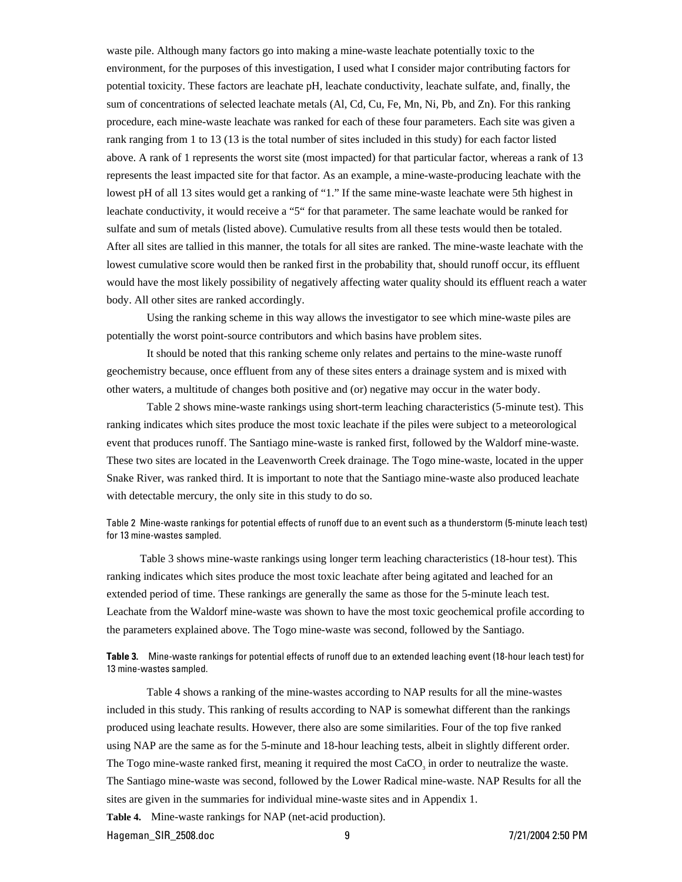waste pile. Although many factors go into making a mine-waste leachate potentially toxic to the environment, for the purposes of this investigation, I used what I consider major contributing factors for potential toxicity. These factors are leachate pH, leachate conductivity, leachate sulfate, and, finally, the sum of concentrations of selected leachate metals (Al, Cd, Cu, Fe, Mn, Ni, Pb, and Zn). For this ranking procedure, each mine-waste leachate was ranked for each of these four parameters. Each site was given a rank ranging from 1 to 13 (13 is the total number of sites included in this study) for each factor listed above. A rank of 1 represents the worst site (most impacted) for that particular factor, whereas a rank of 13 represents the least impacted site for that factor. As an example, a mine-waste-producing leachate with the lowest pH of all 13 sites would get a ranking of "1." If the same mine-waste leachate were 5th highest in leachate conductivity, it would receive a "5" for that parameter. The same leachate would be ranked for sulfate and sum of metals (listed above). Cumulative results from all these tests would then be totaled. After all sites are tallied in this manner, the totals for all sites are ranked. The mine-waste leachate with the lowest cumulative score would then be ranked first in the probability that, should runoff occur, its effluent would have the most likely possibility of negatively affecting water quality should its effluent reach a water body. All other sites are ranked accordingly.

Using the ranking scheme in this way allows the investigator to see which mine-waste piles are potentially the worst point-source contributors and which basins have problem sites.

It should be noted that this ranking scheme only relates and pertains to the mine-waste runoff geochemistry because, once effluent from any of these sites enters a drainage system and is mixed with other waters, a multitude of changes both positive and (or) negative may occur in the water body.

Table 2 shows mine-waste rankings using short-term leaching characteristics (5-minute test). This ranking indicates which sites produce the most toxic leachate if the piles were subject to a meteorological event that produces runoff. The Santiago mine-waste is ranked first, followed by the Waldorf mine-waste. These two sites are located in the Leavenworth Creek drainage. The Togo mine-waste, located in the upper Snake River, was ranked third. It is important to note that the Santiago mine-waste also produced leachate with detectable mercury, the only site in this study to do so.

Table 2 Mine-waste rankings for potential effects of runoff due to an event such as a thunderstorm (5-minute leach test) for 13 mine-wastes sampled.

Table 3 shows mine-waste rankings using longer term leaching characteristics (18-hour test). This ranking indicates which sites produce the most toxic leachate after being agitated and leached for an extended period of time. These rankings are generally the same as those for the 5-minute leach test. Leachate from the Waldorf mine-waste was shown to have the most toxic geochemical profile according to the parameters explained above. The Togo mine-waste was second, followed by the Santiago.

**Table 3.** Mine-waste rankings for potential effects of runoff due to an extended leaching event (18-hour leach test) for 13 mine-wastes sampled.

Table 4 shows a ranking of the mine-wastes according to NAP results for all the mine-wastes included in this study. This ranking of results according to NAP is somewhat different than the rankings produced using leachate results. However, there also are some similarities. Four of the top five ranked using NAP are the same as for the 5-minute and 18-hour leaching tests, albeit in slightly different order. The Togo mine-waste ranked first, meaning it required the most CaCO<sub>3</sub> in order to neutralize the waste. The Santiago mine-waste was second, followed by the Lower Radical mine-waste. NAP Results for all the sites are given in the summaries for individual mine-waste sites and in Appendix 1.

**Table 4.** Mine-waste rankings for NAP (net-acid production).

Hageman\_SIR\_2508.doc 9 7/21/2004 2:50 PM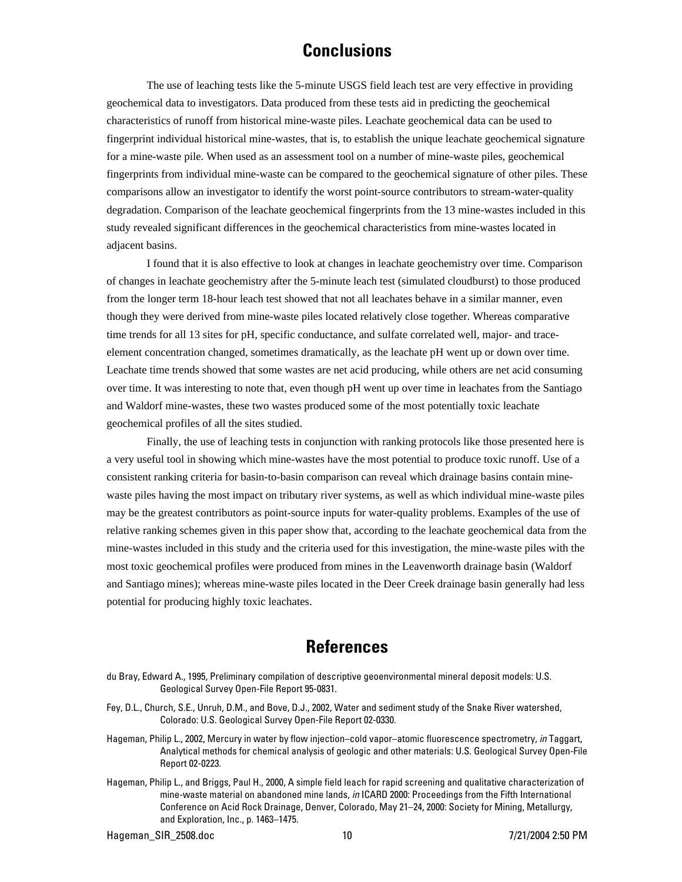# **Conclusions**

The use of leaching tests like the 5-minute USGS field leach test are very effective in providing geochemical data to investigators. Data produced from these tests aid in predicting the geochemical characteristics of runoff from historical mine-waste piles. Leachate geochemical data can be used to fingerprint individual historical mine-wastes, that is, to establish the unique leachate geochemical signature for a mine-waste pile. When used as an assessment tool on a number of mine-waste piles, geochemical fingerprints from individual mine-waste can be compared to the geochemical signature of other piles. These comparisons allow an investigator to identify the worst point-source contributors to stream-water-quality degradation. Comparison of the leachate geochemical fingerprints from the 13 mine-wastes included in this study revealed significant differences in the geochemical characteristics from mine-wastes located in adjacent basins.

I found that it is also effective to look at changes in leachate geochemistry over time. Comparison of changes in leachate geochemistry after the 5-minute leach test (simulated cloudburst) to those produced from the longer term 18-hour leach test showed that not all leachates behave in a similar manner, even though they were derived from mine-waste piles located relatively close together. Whereas comparative time trends for all 13 sites for pH, specific conductance, and sulfate correlated well, major- and traceelement concentration changed, sometimes dramatically, as the leachate pH went up or down over time. Leachate time trends showed that some wastes are net acid producing, while others are net acid consuming over time. It was interesting to note that, even though pH went up over time in leachates from the Santiago and Waldorf mine-wastes, these two wastes produced some of the most potentially toxic leachate geochemical profiles of all the sites studied.

Finally, the use of leaching tests in conjunction with ranking protocols like those presented here is a very useful tool in showing which mine-wastes have the most potential to produce toxic runoff. Use of a consistent ranking criteria for basin-to-basin comparison can reveal which drainage basins contain minewaste piles having the most impact on tributary river systems, as well as which individual mine-waste piles may be the greatest contributors as point-source inputs for water-quality problems. Examples of the use of relative ranking schemes given in this paper show that, according to the leachate geochemical data from the mine-wastes included in this study and the criteria used for this investigation, the mine-waste piles with the most toxic geochemical profiles were produced from mines in the Leavenworth drainage basin (Waldorf and Santiago mines); whereas mine-waste piles located in the Deer Creek drainage basin generally had less potential for producing highly toxic leachates.

# **References**

- du Bray, Edward A., 1995, Preliminary compilation of descriptive geoenvironmental mineral deposit models: U.S. Geological Survey Open-File Report 95-0831.
- Fey, D.L., Church, S.E., Unruh, D.M., and Bove, D.J., 2002, Water and sediment study of the Snake River watershed, Colorado: U.S. Geological Survey Open-File Report 02-0330.
- Hageman, Philip L., 2002, Mercury in water by flow injection–cold vapor–atomic fluorescence spectrometry, *in* Taggart, Analytical methods for chemical analysis of geologic and other materials: U.S. Geological Survey Open-File Report 02-0223.
- Hageman, Philip L., and Briggs, Paul H., 2000, A simple field leach for rapid screening and qualitative characterization of mine-waste material on abandoned mine lands, *in* ICARD 2000: Proceedings from the Fifth International Conference on Acid Rock Drainage, Denver, Colorado, May 21–24, 2000: Society for Mining, Metallurgy, and Exploration, Inc., p. 1463–1475.

Hageman\_SIR\_2508.doc 10 7/21/2004 2:50 PM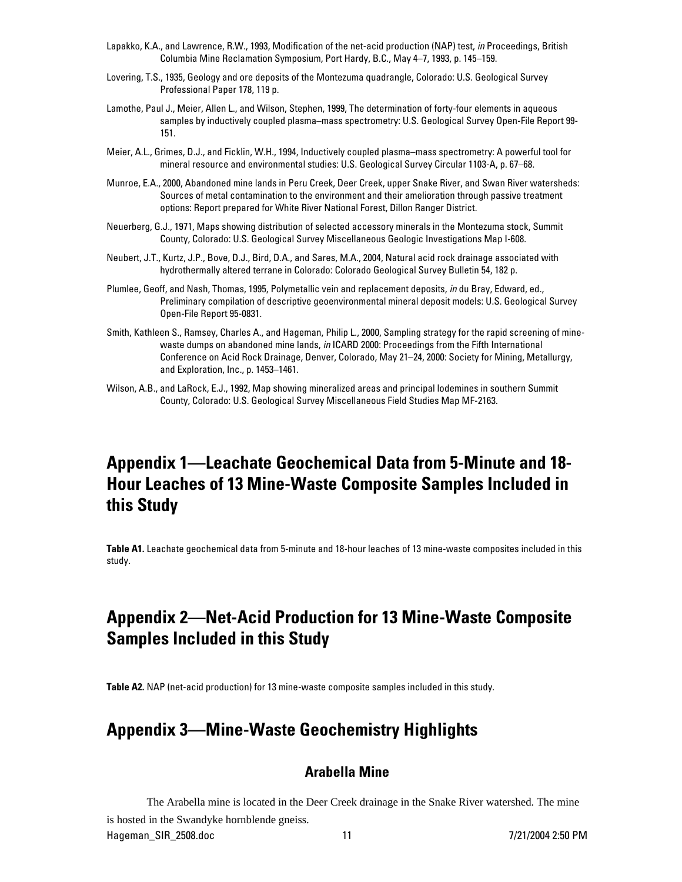- Lapakko, K.A., and Lawrence, R.W., 1993, Modification of the net-acid production (NAP) test, *in* Proceedings, British Columbia Mine Reclamation Symposium, Port Hardy, B.C., May 4–7, 1993, p. 145–159.
- Lovering, T.S., 1935, Geology and ore deposits of the Montezuma quadrangle, Colorado: U.S. Geological Survey Professional Paper 178, 119 p.
- Lamothe, Paul J., Meier, Allen L., and Wilson, Stephen, 1999, The determination of forty-four elements in aqueous samples by inductively coupled plasma–mass spectrometry: U.S. Geological Survey Open-File Report 99- 151.
- Meier, A.L., Grimes, D.J., and Ficklin, W.H., 1994, Inductively coupled plasma–mass spectrometry: A powerful tool for mineral resource and environmental studies: U.S. Geological Survey Circular 1103-A, p. 67–68.
- Munroe, E.A., 2000, Abandoned mine lands in Peru Creek, Deer Creek, upper Snake River, and Swan River watersheds: Sources of metal contamination to the environment and their amelioration through passive treatment options: Report prepared for White River National Forest, Dillon Ranger District.
- Neuerberg, G.J., 1971, Maps showing distribution of selected accessory minerals in the Montezuma stock, Summit County, Colorado: U.S. Geological Survey Miscellaneous Geologic Investigations Map I-608.
- Neubert, J.T., Kurtz, J.P., Bove, D.J., Bird, D.A., and Sares, M.A., 2004, Natural acid rock drainage associated with hydrothermally altered terrane in Colorado: Colorado Geological Survey Bulletin 54, 182 p.
- Plumlee, Geoff, and Nash, Thomas, 1995, Polymetallic vein and replacement deposits, *in* du Bray, Edward, ed., Preliminary compilation of descriptive geoenvironmental mineral deposit models: U.S. Geological Survey Open-File Report 95-0831.
- Smith, Kathleen S., Ramsey, Charles A., and Hageman, Philip L., 2000, Sampling strategy for the rapid screening of minewaste dumps on abandoned mine lands, *in* ICARD 2000: Proceedings from the Fifth International Conference on Acid Rock Drainage, Denver, Colorado, May 21–24, 2000: Society for Mining, Metallurgy, and Exploration, Inc., p. 1453–1461.
- Wilson, A.B., and LaRock, E.J., 1992, Map showing mineralized areas and principal lodemines in southern Summit County, Colorado: U.S. Geological Survey Miscellaneous Field Studies Map MF-2163.

# **Appendix 1—Leachate Geochemical Data from 5-Minute and 18- Hour Leaches of 13 Mine-Waste Composite Samples Included in this Study**

**Table A1.** Leachate geochemical data from 5-minute and 18-hour leaches of 13 mine-waste composites included in this study.

# **Appendix 2—Net-Acid Production for 13 Mine-Waste Composite Samples Included in this Study**

**Table A2.** NAP (net-acid production) for 13 mine-waste composite samples included in this study.

# **Appendix 3—Mine-Waste Geochemistry Highlights**

# **Arabella Mine**

The Arabella mine is located in the Deer Creek drainage in the Snake River watershed. The mine is hosted in the Swandyke hornblende gneiss.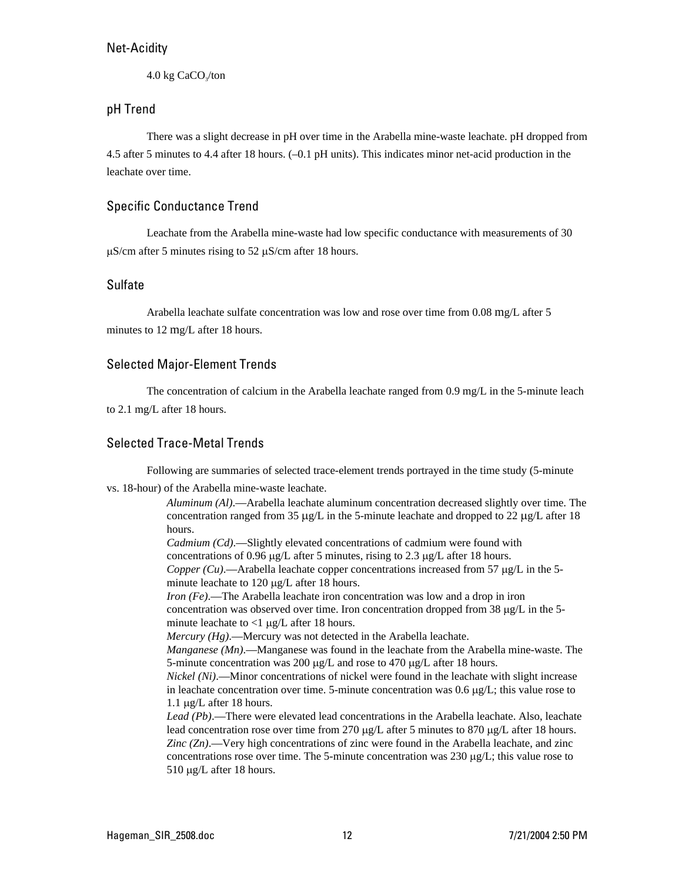4.0 kg CaCO<sub>s</sub>/ton

# pH Trend

There was a slight decrease in pH over time in the Arabella mine-waste leachate. pH dropped from 4.5 after 5 minutes to 4.4 after 18 hours. (–0.1 pH units). This indicates minor net-acid production in the leachate over time.

# Specific Conductance Trend

Leachate from the Arabella mine-waste had low specific conductance with measurements of 30 µS/cm after 5 minutes rising to 52 µS/cm after 18 hours.

### Sulfate

Arabella leachate sulfate concentration was low and rose over time from 0.08 mg/L after 5 minutes to 12 mg/L after 18 hours.

# Selected Major-Element Trends

The concentration of calcium in the Arabella leachate ranged from 0.9 mg/L in the 5-minute leach to 2.1 mg/L after 18 hours.

# Selected Trace-Metal Trends

Following are summaries of selected trace-element trends portrayed in the time study (5-minute

vs. 18-hour) of the Arabella mine-waste leachate.

*Aluminum (Al)*.—Arabella leachate aluminum concentration decreased slightly over time. The concentration ranged from 35  $\mu$ g/L in the 5-minute leachate and dropped to 22  $\mu$ g/L after 18 hours.

*Cadmium (Cd)*.—Slightly elevated concentrations of cadmium were found with concentrations of 0.96 µg/L after 5 minutes, rising to 2.3 µg/L after 18 hours.

*Copper (Cu).*—Arabella leachate copper concentrations increased from 57  $\mu$ g/L in the 5minute leachate to 120  $\mu$ g/L after 18 hours.

*Iron (Fe)*.—The Arabella leachate iron concentration was low and a drop in iron concentration was observed over time. Iron concentration dropped from 38 µg/L in the 5 minute leachate to <1  $\mu$ g/L after 18 hours.

*Mercury (Hg)*.—Mercury was not detected in the Arabella leachate.

*Manganese (Mn)*.—Manganese was found in the leachate from the Arabella mine-waste. The 5-minute concentration was 200  $\mu$ g/L and rose to 470  $\mu$ g/L after 18 hours.

*Nickel (Ni)*.—Minor concentrations of nickel were found in the leachate with slight increase in leachate concentration over time. 5-minute concentration was  $0.6 \mu g/L$ ; this value rose to 1.1 µg/L after 18 hours.

*Lead (Pb)*.—There were elevated lead concentrations in the Arabella leachate. Also, leachate lead concentration rose over time from 270 µg/L after 5 minutes to 870 µg/L after 18 hours. *Zinc (Zn)*.—Very high concentrations of zinc were found in the Arabella leachate, and zinc concentrations rose over time. The 5-minute concentration was  $230 \mu g/L$ ; this value rose to 510 µg/L after 18 hours.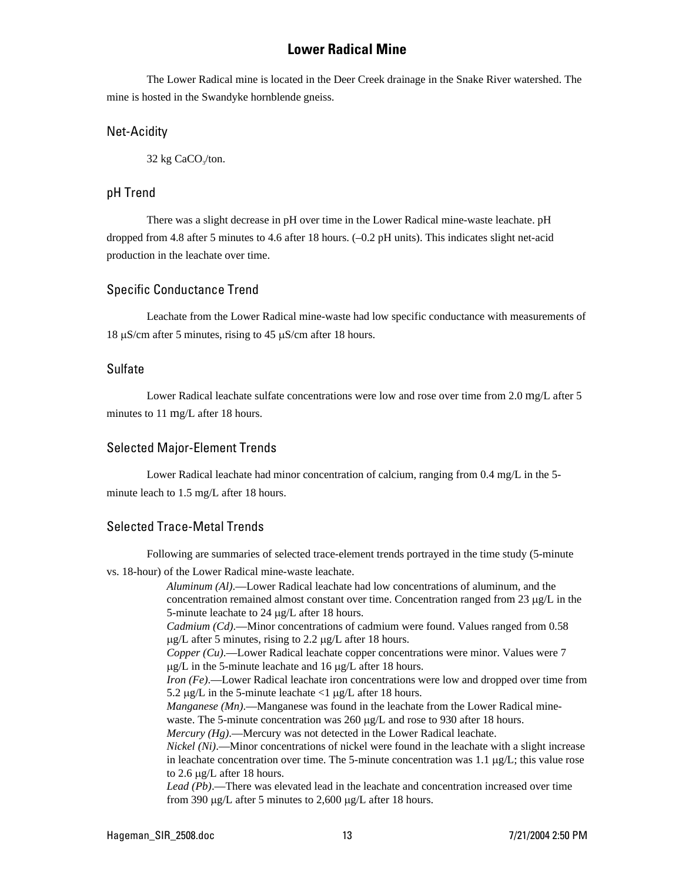# **Lower Radical Mine**

The Lower Radical mine is located in the Deer Creek drainage in the Snake River watershed. The mine is hosted in the Swandyke hornblende gneiss.

#### Net-Acidity

 $32$  kg CaCO<sub>2</sub>/ton.

### pH Trend

There was a slight decrease in pH over time in the Lower Radical mine-waste leachate. pH dropped from 4.8 after 5 minutes to 4.6 after 18 hours. (–0.2 pH units). This indicates slight net-acid production in the leachate over time.

#### Specific Conductance Trend

Leachate from the Lower Radical mine-waste had low specific conductance with measurements of 18 µS/cm after 5 minutes, rising to 45 µS/cm after 18 hours.

#### Sulfate

Lower Radical leachate sulfate concentrations were low and rose over time from 2.0 mg/L after 5 minutes to 11 mg/L after 18 hours.

### Selected Major-Element Trends

Lower Radical leachate had minor concentration of calcium, ranging from 0.4 mg/L in the 5 minute leach to 1.5 mg/L after 18 hours.

# Selected Trace-Metal Trends

Following are summaries of selected trace-element trends portrayed in the time study (5-minute vs. 18-hour) of the Lower Radical mine-waste leachate.

*Aluminum (Al)*.—Lower Radical leachate had low concentrations of aluminum, and the concentration remained almost constant over time. Concentration ranged from 23  $\mu$ g/L in the 5-minute leachate to 24 µg/L after 18 hours. *Cadmium (Cd)*.—Minor concentrations of cadmium were found. Values ranged from 0.58  $\mu$ g/L after 5 minutes, rising to 2.2  $\mu$ g/L after 18 hours. *Copper (Cu)*.—Lower Radical leachate copper concentrations were minor. Values were 7 µg/L in the 5-minute leachate and 16 µg/L after 18 hours. *Iron (Fe)*.—Lower Radical leachate iron concentrations were low and dropped over time from 5.2  $\mu$ g/L in the 5-minute leachate <1  $\mu$ g/L after 18 hours. *Manganese (Mn).*—Manganese was found in the leachate from the Lower Radical minewaste. The 5-minute concentration was 260 µg/L and rose to 930 after 18 hours. *Mercury (Hg)*.—Mercury was not detected in the Lower Radical leachate. *Nickel (Ni)*.—Minor concentrations of nickel were found in the leachate with a slight increase in leachate concentration over time. The 5-minute concentration was 1.1  $\mu$ g/L; this value rose to 2.6 µg/L after 18 hours. *Lead (Pb)*.—There was elevated lead in the leachate and concentration increased over time from 390 µg/L after 5 minutes to 2,600 µg/L after 18 hours.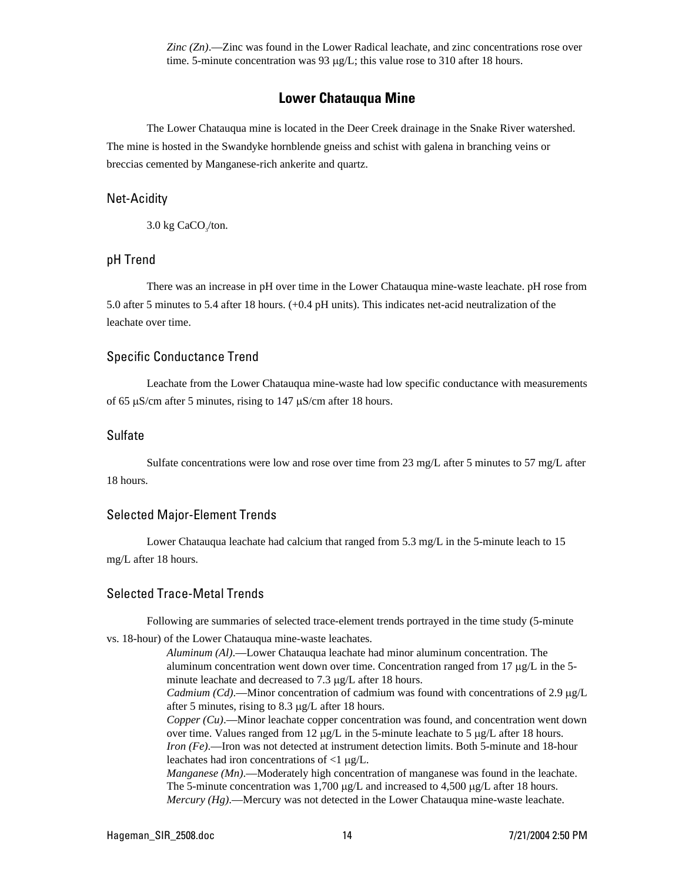*Zinc (Zn)*.—Zinc was found in the Lower Radical leachate, and zinc concentrations rose over time. 5-minute concentration was 93 µg/L; this value rose to 310 after 18 hours.

### **Lower Chatauqua Mine**

The Lower Chatauqua mine is located in the Deer Creek drainage in the Snake River watershed. The mine is hosted in the Swandyke hornblende gneiss and schist with galena in branching veins or breccias cemented by Manganese-rich ankerite and quartz.

#### Net-Acidity

 $3.0$  kg CaCO<sub> $3$ </sub>/ton.

#### pH Trend

There was an increase in pH over time in the Lower Chatauqua mine-waste leachate. pH rose from 5.0 after 5 minutes to 5.4 after 18 hours. (+0.4 pH units). This indicates net-acid neutralization of the leachate over time.

#### Specific Conductance Trend

Leachate from the Lower Chatauqua mine-waste had low specific conductance with measurements of 65 µS/cm after 5 minutes, rising to 147 µS/cm after 18 hours.

#### Sulfate

Sulfate concentrations were low and rose over time from 23 mg/L after 5 minutes to 57 mg/L after 18 hours.

#### Selected Major-Element Trends

Lower Chatauqua leachate had calcium that ranged from 5.3 mg/L in the 5-minute leach to 15 mg/L after 18 hours.

### Selected Trace-Metal Trends

Following are summaries of selected trace-element trends portrayed in the time study (5-minute

vs. 18-hour) of the Lower Chatauqua mine-waste leachates.

*Aluminum (Al)*.—Lower Chatauqua leachate had minor aluminum concentration. The aluminum concentration went down over time. Concentration ranged from 17  $\mu$ g/L in the 5minute leachate and decreased to 7.3 µg/L after 18 hours.

*Cadmium (Cd)*.—Minor concentration of cadmium was found with concentrations of 2.9 µg/L after 5 minutes, rising to 8.3 µg/L after 18 hours.

*Copper (Cu)*.—Minor leachate copper concentration was found, and concentration went down over time. Values ranged from 12  $\mu$ g/L in the 5-minute leachate to 5  $\mu$ g/L after 18 hours. *Iron (Fe)*.—Iron was not detected at instrument detection limits. Both 5-minute and 18-hour leachates had iron concentrations of <1 µg/L.

*Manganese (Mn)*.—Moderately high concentration of manganese was found in the leachate. The 5-minute concentration was  $1,700 \mu g/L$  and increased to  $4,500 \mu g/L$  after 18 hours. *Mercury (Hg)*.—Mercury was not detected in the Lower Chatauqua mine-waste leachate.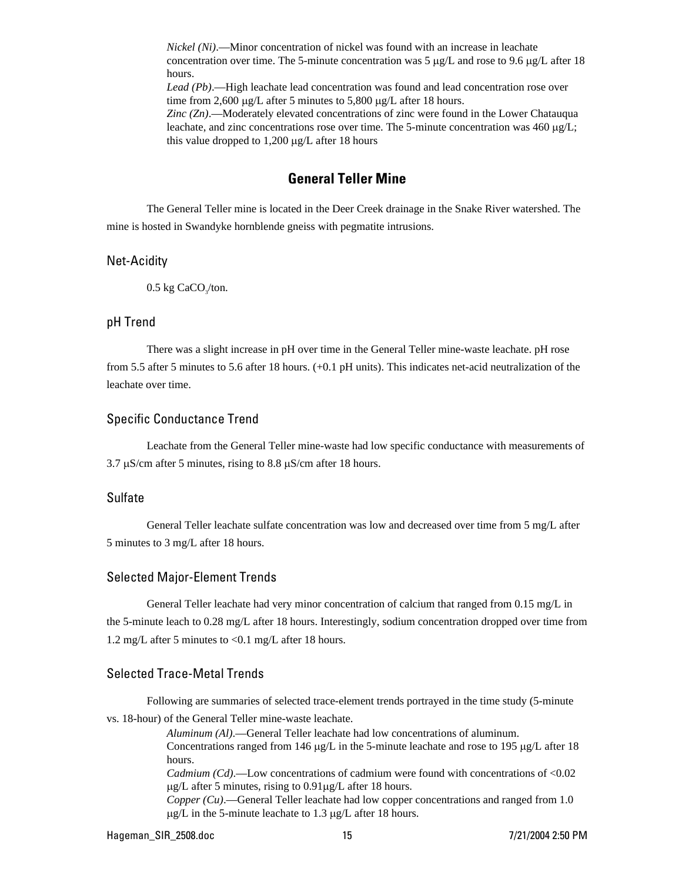*Nickel (Ni)*.—Minor concentration of nickel was found with an increase in leachate concentration over time. The 5-minute concentration was 5  $\mu$ g/L and rose to 9.6  $\mu$ g/L after 18 hours.

*Lead (Pb)*.—High leachate lead concentration was found and lead concentration rose over time from 2,600 µg/L after 5 minutes to 5,800 µg/L after 18 hours.

*Zinc (Zn)*.—Moderately elevated concentrations of zinc were found in the Lower Chatauqua leachate, and zinc concentrations rose over time. The 5-minute concentration was 460 µg/L; this value dropped to  $1,200 \mu g/L$  after 18 hours

# **General Teller Mine**

The General Teller mine is located in the Deer Creek drainage in the Snake River watershed. The mine is hosted in Swandyke hornblende gneiss with pegmatite intrusions.

#### Net-Acidity

 $0.5 \text{ kg CaCO}_{3}/\text{ton}.$ 

#### pH Trend

There was a slight increase in pH over time in the General Teller mine-waste leachate. pH rose from 5.5 after 5 minutes to 5.6 after 18 hours. (+0.1 pH units). This indicates net-acid neutralization of the leachate over time.

#### Specific Conductance Trend

Leachate from the General Teller mine-waste had low specific conductance with measurements of 3.7  $\mu$ S/cm after 5 minutes, rising to 8.8  $\mu$ S/cm after 18 hours.

### Sulfate

General Teller leachate sulfate concentration was low and decreased over time from 5 mg/L after 5 minutes to 3 mg/L after 18 hours.

#### Selected Major-Element Trends

General Teller leachate had very minor concentration of calcium that ranged from 0.15 mg/L in the 5-minute leach to 0.28 mg/L after 18 hours. Interestingly, sodium concentration dropped over time from 1.2 mg/L after 5 minutes to <0.1 mg/L after 18 hours.

#### Selected Trace-Metal Trends

Following are summaries of selected trace-element trends portrayed in the time study (5-minute vs. 18-hour) of the General Teller mine-waste leachate.

> *Aluminum (Al)*.—General Teller leachate had low concentrations of aluminum. Concentrations ranged from 146  $\mu$ g/L in the 5-minute leachate and rose to 195  $\mu$ g/L after 18 hours.

> *Cadmium (Cd).*—Low concentrations of cadmium were found with concentrations of <0.02  $\mu$ g/L after 5 minutes, rising to 0.91 $\mu$ g/L after 18 hours.

> *Copper (Cu)*.—General Teller leachate had low copper concentrations and ranged from 1.0 µg/L in the 5-minute leachate to 1.3 µg/L after 18 hours.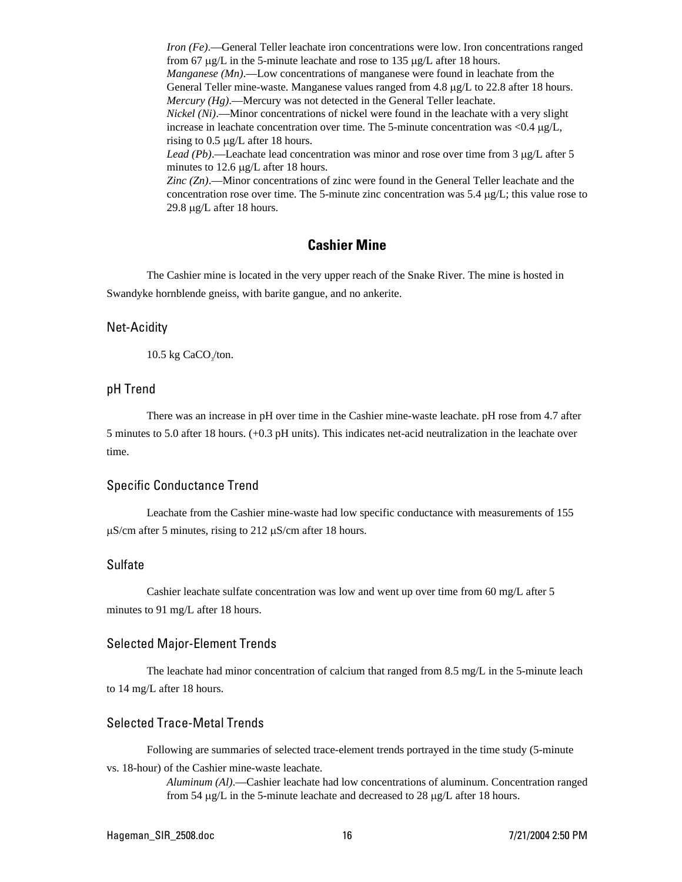*Iron (Fe)*.—General Teller leachate iron concentrations were low. Iron concentrations ranged from 67 µg/L in the 5-minute leachate and rose to 135 µg/L after 18 hours. *Manganese (Mn)*.—Low concentrations of manganese were found in leachate from the General Teller mine-waste. Manganese values ranged from 4.8 µg/L to 22.8 after 18 hours. *Mercury (Hg)*.—Mercury was not detected in the General Teller leachate. *Nickel (Ni)*.—Minor concentrations of nickel were found in the leachate with a very slight increase in leachate concentration over time. The 5-minute concentration was <0.4 µg/L, rising to 0.5 µg/L after 18 hours. Lead (Pb).—Leachate lead concentration was minor and rose over time from 3  $\mu$ g/L after 5 minutes to 12.6 µg/L after 18 hours.

*Zinc (Zn)*.—Minor concentrations of zinc were found in the General Teller leachate and the concentration rose over time. The 5-minute zinc concentration was  $5.4 \mu g/L$ ; this value rose to 29.8 µg/L after 18 hours.

# **Cashier Mine**

The Cashier mine is located in the very upper reach of the Snake River. The mine is hosted in Swandyke hornblende gneiss, with barite gangue, and no ankerite.

#### Net-Acidity

 $10.5 \text{ kg CaCO}_{3}/\text{ton}.$ 

#### pH Trend

There was an increase in pH over time in the Cashier mine-waste leachate. pH rose from 4.7 after 5 minutes to 5.0 after 18 hours. (+0.3 pH units). This indicates net-acid neutralization in the leachate over time.

#### Specific Conductance Trend

Leachate from the Cashier mine-waste had low specific conductance with measurements of 155  $\mu$ S/cm after 5 minutes, rising to 212  $\mu$ S/cm after 18 hours.

#### Sulfate

Cashier leachate sulfate concentration was low and went up over time from 60 mg/L after 5 minutes to 91 mg/L after 18 hours.

#### Selected Major-Element Trends

The leachate had minor concentration of calcium that ranged from 8.5 mg/L in the 5-minute leach to 14 mg/L after 18 hours.

#### Selected Trace-Metal Trends

Following are summaries of selected trace-element trends portrayed in the time study (5-minute vs. 18-hour) of the Cashier mine-waste leachate.

> *Aluminum (Al)*.—Cashier leachate had low concentrations of aluminum. Concentration ranged from 54 µg/L in the 5-minute leachate and decreased to 28 µg/L after 18 hours.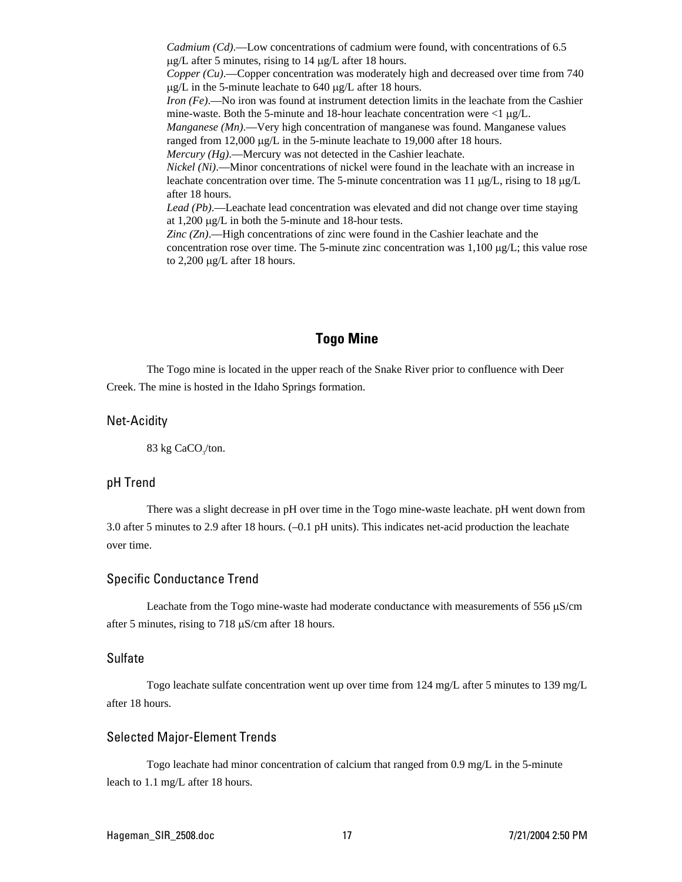*Cadmium (Cd)*.—Low concentrations of cadmium were found, with concentrations of 6.5 µg/L after 5 minutes, rising to 14 µg/L after 18 hours.

*Copper (Cu)*.—Copper concentration was moderately high and decreased over time from 740 µg/L in the 5-minute leachate to 640 µg/L after 18 hours.

*Iron (Fe)*.—No iron was found at instrument detection limits in the leachate from the Cashier mine-waste. Both the 5-minute and 18-hour leachate concentration were  $\langle 1 \mu g/L$ .

*Manganese (Mn)*.—Very high concentration of manganese was found. Manganese values ranged from 12,000 µg/L in the 5-minute leachate to 19,000 after 18 hours.

*Mercury (Hg)*.—Mercury was not detected in the Cashier leachate.

*Nickel (Ni)*.—Minor concentrations of nickel were found in the leachate with an increase in leachate concentration over time. The 5-minute concentration was 11  $\mu$ g/L, rising to 18  $\mu$ g/L after 18 hours.

*Lead (Pb)*.—Leachate lead concentration was elevated and did not change over time staying at 1,200 µg/L in both the 5-minute and 18-hour tests.

*Zinc (Zn)*.—High concentrations of zinc were found in the Cashier leachate and the concentration rose over time. The 5-minute zinc concentration was  $1,100 \mu g/L$ ; this value rose to 2,200 µg/L after 18 hours.

# **Togo Mine**

The Togo mine is located in the upper reach of the Snake River prior to confluence with Deer Creek. The mine is hosted in the Idaho Springs formation.

#### Net-Acidity

83 kg CaCO<sub>s</sub>/ton.

#### pH Trend

There was a slight decrease in pH over time in the Togo mine-waste leachate. pH went down from 3.0 after 5 minutes to 2.9 after 18 hours. (–0.1 pH units). This indicates net-acid production the leachate over time.

#### Specific Conductance Trend

Leachate from the Togo mine-waste had moderate conductance with measurements of 556  $\mu$ S/cm after 5 minutes, rising to 718 µS/cm after 18 hours.

#### Sulfate

Togo leachate sulfate concentration went up over time from 124 mg/L after 5 minutes to 139 mg/L after 18 hours.

#### Selected Major-Element Trends

Togo leachate had minor concentration of calcium that ranged from 0.9 mg/L in the 5-minute leach to 1.1 mg/L after 18 hours.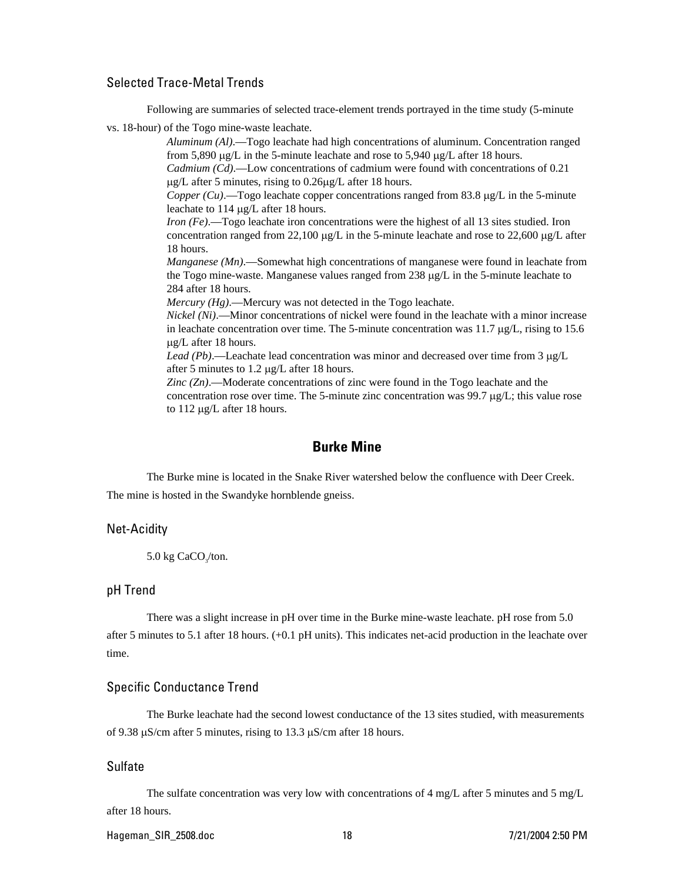### Selected Trace-Metal Trends

Following are summaries of selected trace-element trends portrayed in the time study (5-minute

vs. 18-hour) of the Togo mine-waste leachate.

*Aluminum (Al)*.—Togo leachate had high concentrations of aluminum. Concentration ranged from 5,890 µg/L in the 5-minute leachate and rose to 5,940 µg/L after 18 hours.

*Cadmium (Cd)*.—Low concentrations of cadmium were found with concentrations of 0.21 µg/L after 5 minutes, rising to 0.26µg/L after 18 hours.

*Copper (Cu)*.—Togo leachate copper concentrations ranged from 83.8 µg/L in the 5-minute leachate to 114 µg/L after 18 hours.

*Iron (Fe)*.—Togo leachate iron concentrations were the highest of all 13 sites studied. Iron concentration ranged from 22,100  $\mu$ g/L in the 5-minute leachate and rose to 22,600  $\mu$ g/L after 18 hours.

*Manganese (Mn)*.—Somewhat high concentrations of manganese were found in leachate from the Togo mine-waste. Manganese values ranged from 238 µg/L in the 5-minute leachate to 284 after 18 hours.

*Mercury (Hg).*—Mercury was not detected in the Togo leachate.

*Nickel (Ni)*.—Minor concentrations of nickel were found in the leachate with a minor increase in leachate concentration over time. The 5-minute concentration was 11.7  $\mu$ g/L, rising to 15.6 µg/L after 18 hours.

*Lead (Pb)*.—Leachate lead concentration was minor and decreased over time from 3 µg/L after 5 minutes to 1.2 µg/L after 18 hours.

*Zinc (Zn)*.—Moderate concentrations of zinc were found in the Togo leachate and the concentration rose over time. The 5-minute zinc concentration was  $99.7 \mu g/L$ ; this value rose to 112 µg/L after 18 hours.

### **Burke Mine**

The Burke mine is located in the Snake River watershed below the confluence with Deer Creek. The mine is hosted in the Swandyke hornblende gneiss.

#### Net-Acidity

```
5.0 \text{ kg CaCO}_{3}/\text{ton}.
```
#### pH Trend

There was a slight increase in pH over time in the Burke mine-waste leachate. pH rose from 5.0 after 5 minutes to 5.1 after 18 hours. (+0.1 pH units). This indicates net-acid production in the leachate over time.

#### Specific Conductance Trend

The Burke leachate had the second lowest conductance of the 13 sites studied, with measurements of 9.38 µS/cm after 5 minutes, rising to 13.3 µS/cm after 18 hours.

#### Sulfate

The sulfate concentration was very low with concentrations of 4 mg/L after 5 minutes and 5 mg/L after 18 hours.

#### Hageman\_SIR\_2508.doc 18 7/21/2004 2:50 PM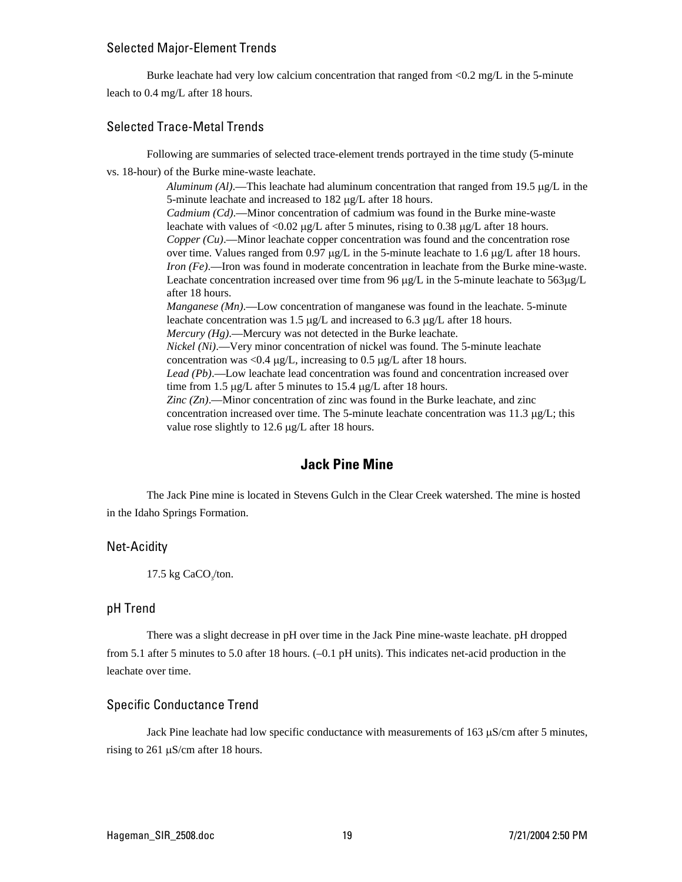#### Selected Major-Element Trends

Burke leachate had very low calcium concentration that ranged from <0.2 mg/L in the 5-minute leach to 0.4 mg/L after 18 hours.

### Selected Trace-Metal Trends

Following are summaries of selected trace-element trends portrayed in the time study (5-minute

vs. 18-hour) of the Burke mine-waste leachate.

*Aluminum (Al)*.—This leachate had aluminum concentration that ranged from 19.5 µg/L in the 5-minute leachate and increased to 182 µg/L after 18 hours. *Cadmium (Cd)*.—Minor concentration of cadmium was found in the Burke mine-waste leachate with values of  $\langle 0.02 \mu g/L \rangle$  after 5 minutes, rising to 0.38  $\mu g/L$  after 18 hours. *Copper (Cu)*.—Minor leachate copper concentration was found and the concentration rose over time. Values ranged from 0.97  $\mu$ g/L in the 5-minute leachate to 1.6  $\mu$ g/L after 18 hours. *Iron (Fe)*.—Iron was found in moderate concentration in leachate from the Burke mine-waste. Leachate concentration increased over time from 96  $\mu$ g/L in the 5-minute leachate to 563 $\mu$ g/L after 18 hours. *Manganese (Mn)*.—Low concentration of manganese was found in the leachate. 5-minute leachate concentration was 1.5 µg/L and increased to 6.3 µg/L after 18 hours. *Mercury (Hg).*—Mercury was not detected in the Burke leachate. *Nickel (Ni)*.—Very minor concentration of nickel was found. The 5-minute leachate concentration was <0.4  $\mu$ g/L, increasing to 0.5  $\mu$ g/L after 18 hours. *Lead (Pb)*.—Low leachate lead concentration was found and concentration increased over time from 1.5 µg/L after 5 minutes to 15.4 µg/L after 18 hours. *Zinc (Zn)*.—Minor concentration of zinc was found in the Burke leachate, and zinc concentration increased over time. The 5-minute leachate concentration was  $11.3 \mu g/L$ ; this value rose slightly to 12.6 µg/L after 18 hours.

# **Jack Pine Mine**

The Jack Pine mine is located in Stevens Gulch in the Clear Creek watershed. The mine is hosted in the Idaho Springs Formation.

#### Net-Acidity

17.5 kg  $CaCO<sub>3</sub>/ton$ .

#### pH Trend

There was a slight decrease in pH over time in the Jack Pine mine-waste leachate. pH dropped from 5.1 after 5 minutes to 5.0 after 18 hours. (–0.1 pH units). This indicates net-acid production in the leachate over time.

#### Specific Conductance Trend

Jack Pine leachate had low specific conductance with measurements of 163 µS/cm after 5 minutes, rising to 261 µS/cm after 18 hours.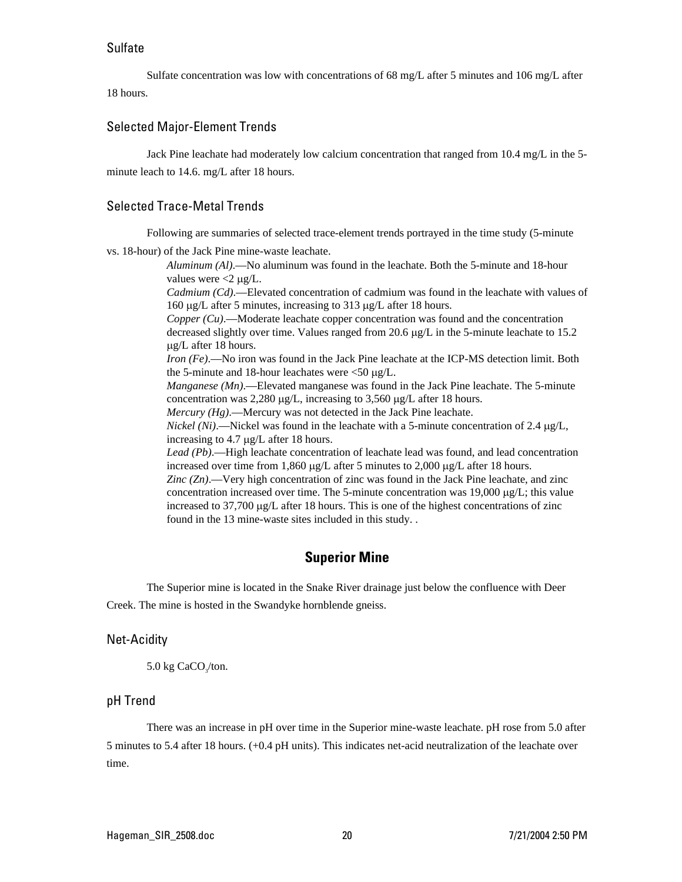#### Sulfate

Sulfate concentration was low with concentrations of 68 mg/L after 5 minutes and 106 mg/L after 18 hours.

#### Selected Major-Element Trends

Jack Pine leachate had moderately low calcium concentration that ranged from 10.4 mg/L in the 5 minute leach to 14.6. mg/L after 18 hours.

#### Selected Trace-Metal Trends

Following are summaries of selected trace-element trends portrayed in the time study (5-minute

vs. 18-hour) of the Jack Pine mine-waste leachate.

*Aluminum (Al)*.—No aluminum was found in the leachate. Both the 5-minute and 18-hour values were  $\langle 2 \mu g / L$ .

*Cadmium (Cd)*.—Elevated concentration of cadmium was found in the leachate with values of 160 µg/L after 5 minutes, increasing to 313 µg/L after 18 hours.

*Copper (Cu)*.—Moderate leachate copper concentration was found and the concentration decreased slightly over time. Values ranged from 20.6 µg/L in the 5-minute leachate to 15.2 µg/L after 18 hours.

*Iron (Fe)*.—No iron was found in the Jack Pine leachate at the ICP-MS detection limit. Both the 5-minute and 18-hour leachates were <50 µg/L.

*Manganese (Mn)*.—Elevated manganese was found in the Jack Pine leachate. The 5-minute concentration was 2,280 µg/L, increasing to 3,560 µg/L after 18 hours.

*Mercury (Hg)*.—Mercury was not detected in the Jack Pine leachate.

*Nickel (Ni)*.—Nickel was found in the leachate with a 5-minute concentration of 2.4  $\mu$ g/L, increasing to 4.7 µg/L after 18 hours.

*Lead (Pb)*.—High leachate concentration of leachate lead was found, and lead concentration increased over time from 1,860 µg/L after 5 minutes to 2,000 µg/L after 18 hours.

*Zinc (Zn)*.—Very high concentration of zinc was found in the Jack Pine leachate, and zinc concentration increased over time. The 5-minute concentration was 19,000  $\mu$ g/L; this value increased to  $37,700 \mu g/L$  after 18 hours. This is one of the highest concentrations of zinc found in the 13 mine-waste sites included in this study. .

# **Superior Mine**

The Superior mine is located in the Snake River drainage just below the confluence with Deer Creek. The mine is hosted in the Swandyke hornblende gneiss.

#### Net-Acidity

 $5.0$  kg CaCO<sub> $<sub>2</sub>$ /ton.</sub></sub>

#### pH Trend

There was an increase in pH over time in the Superior mine-waste leachate. pH rose from 5.0 after 5 minutes to 5.4 after 18 hours. (+0.4 pH units). This indicates net-acid neutralization of the leachate over time.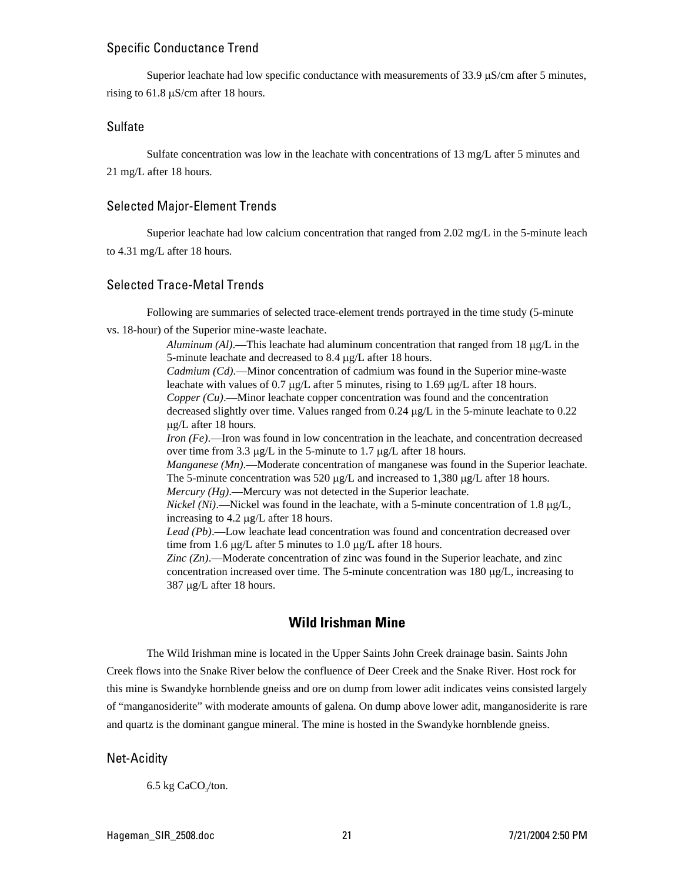#### Specific Conductance Trend

Superior leachate had low specific conductance with measurements of 33.9 µS/cm after 5 minutes, rising to  $61.8 \mu S/cm$  after 18 hours.

#### Sulfate

Sulfate concentration was low in the leachate with concentrations of 13 mg/L after 5 minutes and 21 mg/L after 18 hours.

#### Selected Major-Element Trends

Superior leachate had low calcium concentration that ranged from 2.02 mg/L in the 5-minute leach to 4.31 mg/L after 18 hours.

### Selected Trace-Metal Trends

Following are summaries of selected trace-element trends portrayed in the time study (5-minute

vs. 18-hour) of the Superior mine-waste leachate.

*Aluminum (Al)*.—This leachate had aluminum concentration that ranged from 18 µg/L in the 5-minute leachate and decreased to 8.4 µg/L after 18 hours.

*Cadmium (Cd)*.—Minor concentration of cadmium was found in the Superior mine-waste leachate with values of 0.7  $\mu$ g/L after 5 minutes, rising to 1.69  $\mu$ g/L after 18 hours.

*Copper (Cu)*.—Minor leachate copper concentration was found and the concentration decreased slightly over time. Values ranged from 0.24 µg/L in the 5-minute leachate to 0.22 µg/L after 18 hours.

*Iron (Fe)*.—Iron was found in low concentration in the leachate, and concentration decreased over time from 3.3 µg/L in the 5-minute to 1.7 µg/L after 18 hours.

*Manganese (Mn)*.—Moderate concentration of manganese was found in the Superior leachate. The 5-minute concentration was 520 µg/L and increased to 1,380 µg/L after 18 hours. *Mercury (Hg)*.—Mercury was not detected in the Superior leachate.

*Nickel (Ni)*.—Nickel was found in the leachate, with a 5-minute concentration of 1.8  $\mu$ g/L, increasing to 4.2 µg/L after 18 hours.

*Lead (Pb)*.—Low leachate lead concentration was found and concentration decreased over time from 1.6 µg/L after 5 minutes to 1.0 µg/L after 18 hours.

*Zinc (Zn)*.—Moderate concentration of zinc was found in the Superior leachate, and zinc concentration increased over time. The 5-minute concentration was  $180 \mu g/L$ , increasing to 387 µg/L after 18 hours.

# **Wild Irishman Mine**

The Wild Irishman mine is located in the Upper Saints John Creek drainage basin. Saints John Creek flows into the Snake River below the confluence of Deer Creek and the Snake River. Host rock for this mine is Swandyke hornblende gneiss and ore on dump from lower adit indicates veins consisted largely of "manganosiderite" with moderate amounts of galena. On dump above lower adit, manganosiderite is rare and quartz is the dominant gangue mineral. The mine is hosted in the Swandyke hornblende gneiss.

#### Net-Acidity

 $6.5$  kg CaCO $/$ ton.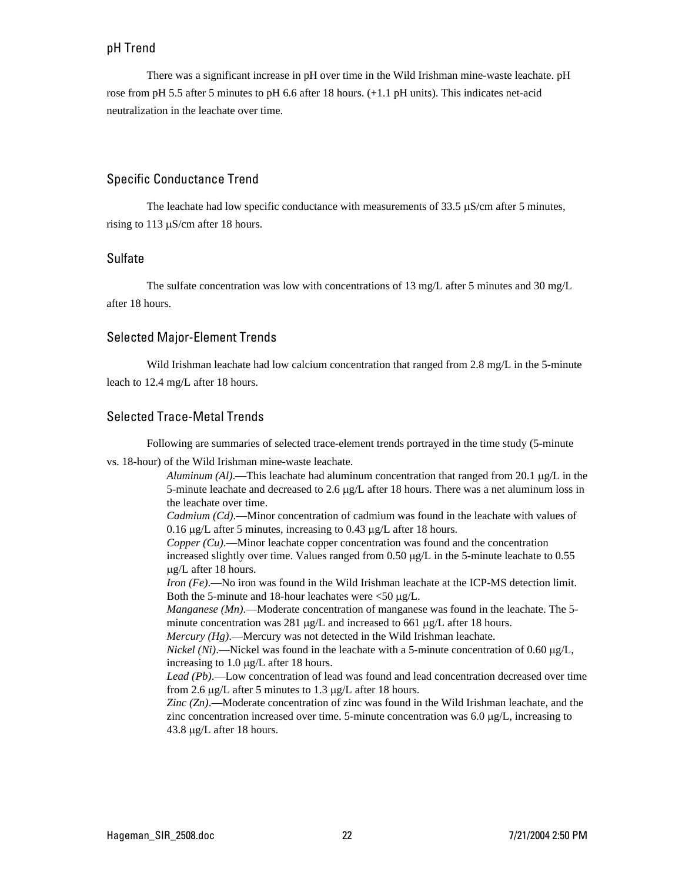#### pH Trend

There was a significant increase in pH over time in the Wild Irishman mine-waste leachate. pH rose from pH 5.5 after 5 minutes to pH 6.6 after 18 hours. (+1.1 pH units). This indicates net-acid neutralization in the leachate over time.

# Specific Conductance Trend

The leachate had low specific conductance with measurements of 33.5 µS/cm after 5 minutes, rising to 113 µS/cm after 18 hours.

#### Sulfate

The sulfate concentration was low with concentrations of 13 mg/L after 5 minutes and 30 mg/L after 18 hours.

#### Selected Major-Element Trends

Wild Irishman leachate had low calcium concentration that ranged from 2.8 mg/L in the 5-minute leach to 12.4 mg/L after 18 hours.

# Selected Trace-Metal Trends

Following are summaries of selected trace-element trends portrayed in the time study (5-minute

vs. 18-hour) of the Wild Irishman mine-waste leachate.

*Aluminum (Al)*.—This leachate had aluminum concentration that ranged from 20.1 µg/L in the 5-minute leachate and decreased to 2.6 µg/L after 18 hours. There was a net aluminum loss in the leachate over time.

*Cadmium (Cd)*.—Minor concentration of cadmium was found in the leachate with values of 0.16 µg/L after 5 minutes, increasing to 0.43 µg/L after 18 hours.

*Copper (Cu)*.—Minor leachate copper concentration was found and the concentration increased slightly over time. Values ranged from  $0.50 \mu g/L$  in the 5-minute leachate to  $0.55$ µg/L after 18 hours.

*Iron (Fe)*.—No iron was found in the Wild Irishman leachate at the ICP-MS detection limit. Both the 5-minute and 18-hour leachates were  $\langle 50 \mu g/L$ .

*Manganese (Mn).*—Moderate concentration of manganese was found in the leachate. The 5minute concentration was 281 µg/L and increased to 661 µg/L after 18 hours.

*Mercury (Hg)*.—Mercury was not detected in the Wild Irishman leachate.

*Nickel (Ni)*.—Nickel was found in the leachate with a 5-minute concentration of 0.60 µg/L, increasing to 1.0 µg/L after 18 hours.

*Lead (Pb)*.—Low concentration of lead was found and lead concentration decreased over time from 2.6 µg/L after 5 minutes to 1.3 µg/L after 18 hours.

*Zinc (Zn)*.—Moderate concentration of zinc was found in the Wild Irishman leachate, and the zinc concentration increased over time. 5-minute concentration was  $6.0 \mu g/L$ , increasing to 43.8 µg/L after 18 hours.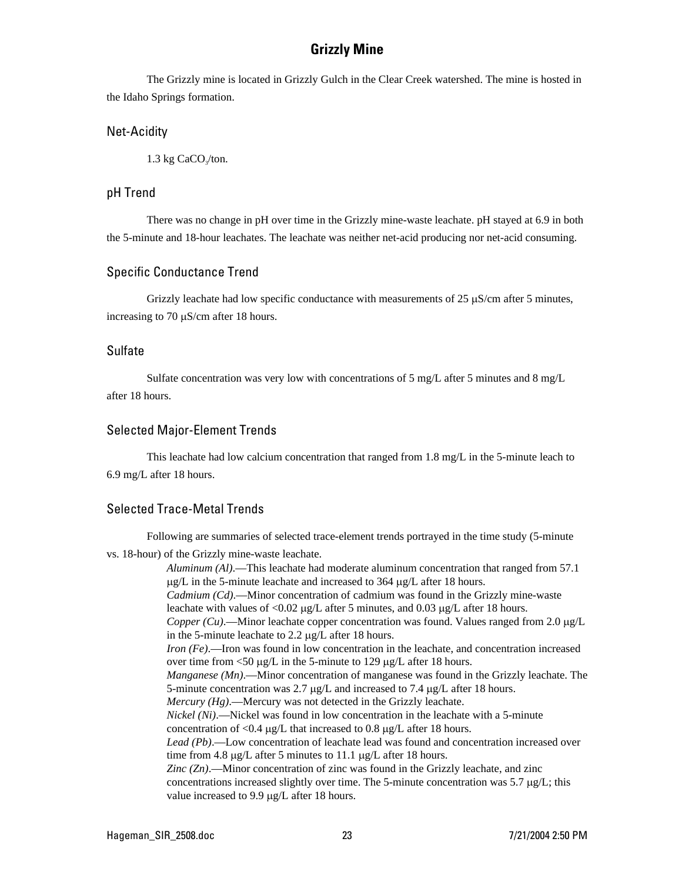# **Grizzly Mine**

The Grizzly mine is located in Grizzly Gulch in the Clear Creek watershed. The mine is hosted in the Idaho Springs formation.

#### Net-Acidity

 $1.3 \text{ kg CaCO}_{3}/\text{ton}.$ 

#### pH Trend

There was no change in pH over time in the Grizzly mine-waste leachate. pH stayed at 6.9 in both the 5-minute and 18-hour leachates. The leachate was neither net-acid producing nor net-acid consuming.

#### Specific Conductance Trend

Grizzly leachate had low specific conductance with measurements of 25  $\mu$ S/cm after 5 minutes, increasing to 70 µS/cm after 18 hours.

#### Sulfate

Sulfate concentration was very low with concentrations of 5 mg/L after 5 minutes and 8 mg/L after 18 hours.

#### Selected Major-Element Trends

This leachate had low calcium concentration that ranged from 1.8 mg/L in the 5-minute leach to 6.9 mg/L after 18 hours.

#### Selected Trace-Metal Trends

Following are summaries of selected trace-element trends portrayed in the time study (5-minute

vs. 18-hour) of the Grizzly mine-waste leachate.

*Aluminum (Al)*.—This leachate had moderate aluminum concentration that ranged from 57.1  $\mu$ g/L in the 5-minute leachate and increased to 364  $\mu$ g/L after 18 hours. *Cadmium (Cd)*.—Minor concentration of cadmium was found in the Grizzly mine-waste leachate with values of  $\langle 0.02 \mu g/L \rangle$  after 5 minutes, and  $0.03 \mu g/L$  after 18 hours. *Copper (Cu).*—Minor leachate copper concentration was found. Values ranged from 2.0  $\mu g/L$ in the 5-minute leachate to 2.2 µg/L after 18 hours. *Iron (Fe)*.—Iron was found in low concentration in the leachate, and concentration increased over time from <50 µg/L in the 5-minute to 129 µg/L after 18 hours. *Manganese (Mn).*—Minor concentration of manganese was found in the Grizzly leachate. The 5-minute concentration was 2.7 µg/L and increased to 7.4 µg/L after 18 hours. *Mercury (Hg)*.—Mercury was not detected in the Grizzly leachate. *Nickel (Ni)*.—Nickel was found in low concentration in the leachate with a 5-minute concentration of <0.4  $\mu$ g/L that increased to 0.8  $\mu$ g/L after 18 hours. *Lead (Pb)*.—Low concentration of leachate lead was found and concentration increased over time from 4.8 µg/L after 5 minutes to 11.1 µg/L after 18 hours. *Zinc (Zn)*.—Minor concentration of zinc was found in the Grizzly leachate, and zinc concentrations increased slightly over time. The 5-minute concentration was 5.7 µg/L; this value increased to 9.9 µg/L after 18 hours.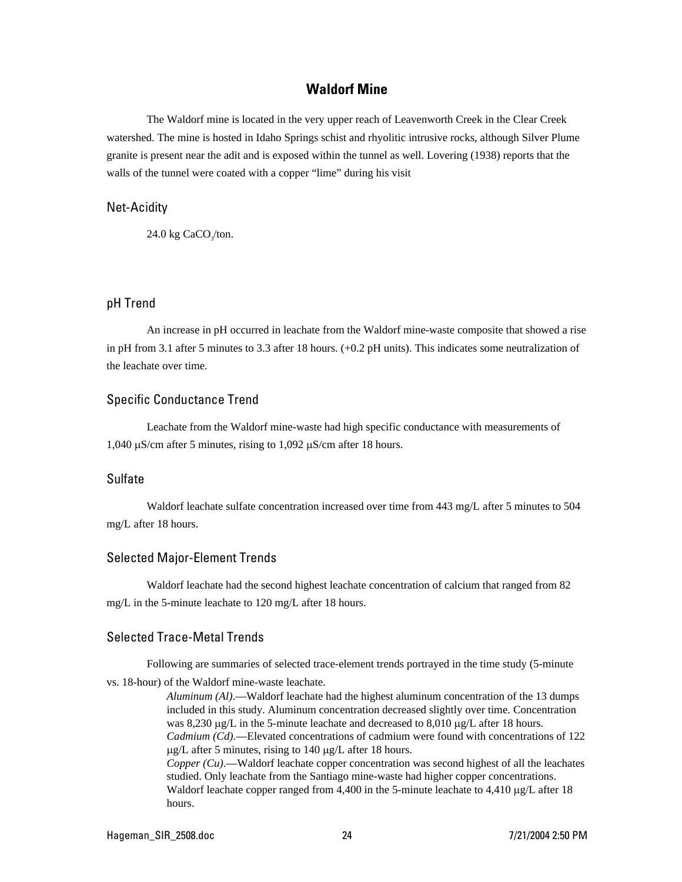#### **Waldorf Mine**

The Waldorf mine is located in the very upper reach of Leavenworth Creek in the Clear Creek watershed. The mine is hosted in Idaho Springs schist and rhyolitic intrusive rocks, although Silver Plume granite is present near the adit and is exposed within the tunnel as well. Lovering (1938) reports that the walls of the tunnel were coated with a copper "lime" during his visit

#### Net-Acidity

 $24.0 \text{ kg CaCO}_{3}/\text{ton}.$ 

#### pH Trend

An increase in pH occurred in leachate from the Waldorf mine-waste composite that showed a rise in pH from 3.1 after 5 minutes to 3.3 after 18 hours. (+0.2 pH units). This indicates some neutralization of the leachate over time.

#### Specific Conductance Trend

Leachate from the Waldorf mine-waste had high specific conductance with measurements of 1,040 µS/cm after 5 minutes, rising to 1,092 µS/cm after 18 hours.

# Sulfate

Waldorf leachate sulfate concentration increased over time from 443 mg/L after 5 minutes to 504 mg/L after 18 hours.

#### Selected Major-Element Trends

Waldorf leachate had the second highest leachate concentration of calcium that ranged from 82 mg/L in the 5-minute leachate to 120 mg/L after 18 hours.

### Selected Trace-Metal Trends

Following are summaries of selected trace-element trends portrayed in the time study (5-minute vs. 18-hour) of the Waldorf mine-waste leachate.

> *Aluminum (Al)*.—Waldorf leachate had the highest aluminum concentration of the 13 dumps included in this study. Aluminum concentration decreased slightly over time. Concentration was 8,230 µg/L in the 5-minute leachate and decreased to 8,010 µg/L after 18 hours. *Cadmium (Cd)*.—Elevated concentrations of cadmium were found with concentrations of 122  $\mu$ g/L after 5 minutes, rising to 140  $\mu$ g/L after 18 hours. *Copper (Cu)*.—Waldorf leachate copper concentration was second highest of all the leachates studied. Only leachate from the Santiago mine-waste had higher copper concentrations. Waldorf leachate copper ranged from 4,400 in the 5-minute leachate to 4,410 µg/L after 18 hours.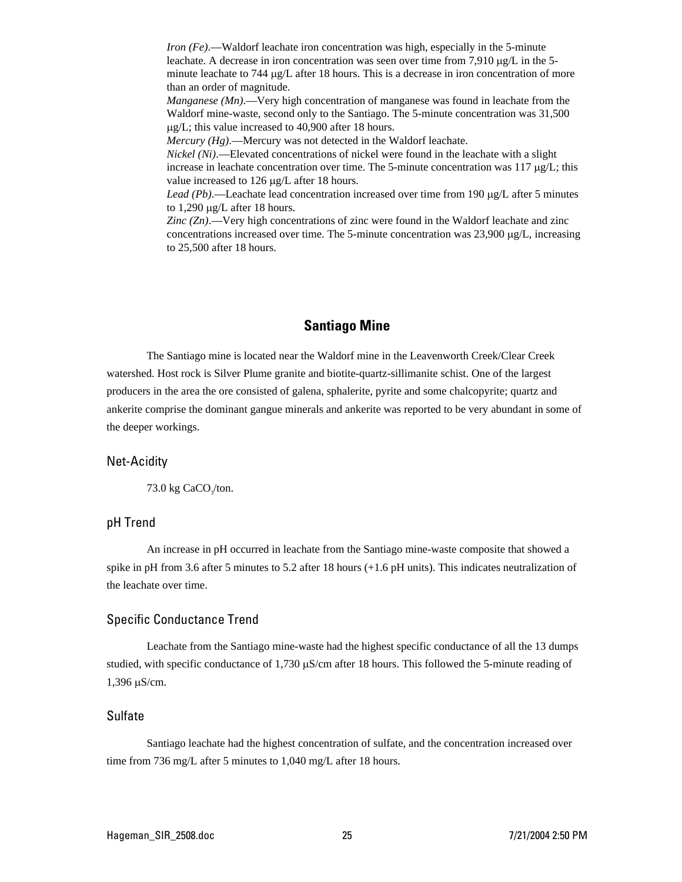*Iron (Fe)*.—Waldorf leachate iron concentration was high, especially in the 5-minute leachate. A decrease in iron concentration was seen over time from 7,910 µg/L in the 5minute leachate to 744 µg/L after 18 hours. This is a decrease in iron concentration of more than an order of magnitude.

*Manganese (Mn)*.—Very high concentration of manganese was found in leachate from the Waldorf mine-waste, second only to the Santiago. The 5-minute concentration was 31,500 µg/L; this value increased to 40,900 after 18 hours.

*Mercury (Hg).*—Mercury was not detected in the Waldorf leachate.

*Nickel (Ni)*.—Elevated concentrations of nickel were found in the leachate with a slight increase in leachate concentration over time. The 5-minute concentration was  $117 \mu g/L$ ; this value increased to 126 µg/L after 18 hours.

*Lead (Pb)*.—Leachate lead concentration increased over time from 190 µg/L after 5 minutes to 1,290 µg/L after 18 hours.

*Zinc (Zn)*.—Very high concentrations of zinc were found in the Waldorf leachate and zinc concentrations increased over time. The 5-minute concentration was  $23,900 \mu g/L$ , increasing to 25,500 after 18 hours.

# **Santiago Mine**

The Santiago mine is located near the Waldorf mine in the Leavenworth Creek/Clear Creek watershed. Host rock is Silver Plume granite and biotite-quartz-sillimanite schist. One of the largest producers in the area the ore consisted of galena, sphalerite, pyrite and some chalcopyrite; quartz and ankerite comprise the dominant gangue minerals and ankerite was reported to be very abundant in some of the deeper workings.

#### Net-Acidity

73.0 kg  $CaCO<sub>3</sub>/ton$ .

#### pH Trend

An increase in pH occurred in leachate from the Santiago mine-waste composite that showed a spike in pH from 3.6 after 5 minutes to 5.2 after 18 hours (+1.6 pH units). This indicates neutralization of the leachate over time.

#### Specific Conductance Trend

Leachate from the Santiago mine-waste had the highest specific conductance of all the 13 dumps studied, with specific conductance of  $1,730 \mu S/cm$  after 18 hours. This followed the 5-minute reading of 1,396 µS/cm.

### Sulfate

Santiago leachate had the highest concentration of sulfate, and the concentration increased over time from 736 mg/L after 5 minutes to 1,040 mg/L after 18 hours.